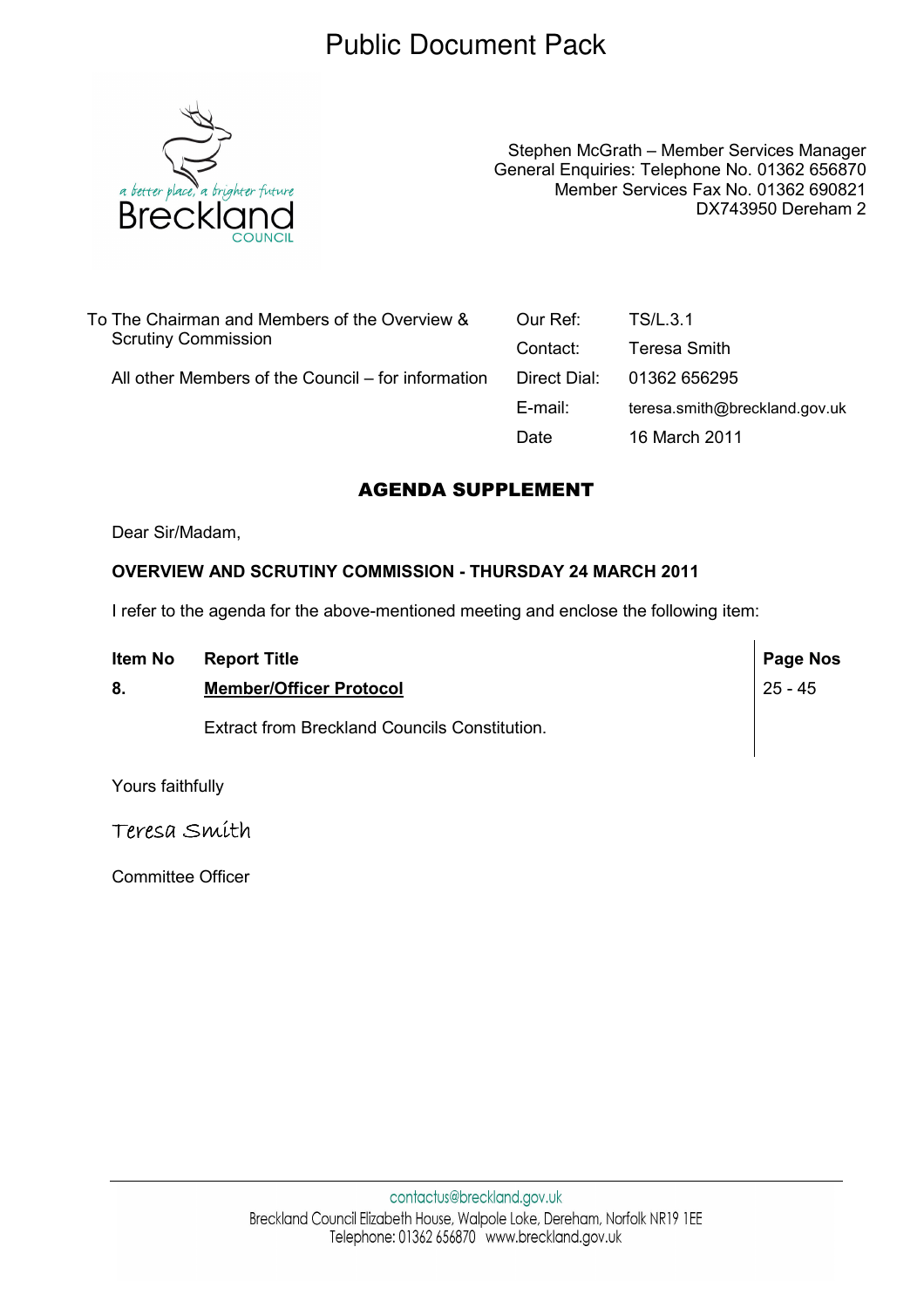## Public Document Pack



Stephen McGrath – Member Services Manager General Enquiries: Telephone No. 01362 656870 Member Services Fax No. 01362 690821 DX743950 Dereham 2

| To The Chairman and Members of the Overview &<br><b>Scrutiny Commission</b> | Our Ref:     | TS/L.3.1                      |
|-----------------------------------------------------------------------------|--------------|-------------------------------|
|                                                                             | Contact:     | Teresa Smith                  |
| All other Members of the Council – for information                          | Direct Dial: | 01362 656295                  |
|                                                                             | E-mail:      | teresa.smith@breckland.gov.uk |
|                                                                             | Date         | 16 March 2011                 |

## AGENDA SUPPLEMENT

Dear Sir/Madam,

## OVERVIEW AND SCRUTINY COMMISSION - THURSDAY 24 MARCH 2011

I refer to the agenda for the above-mentioned meeting and enclose the following item:

| Item No | <b>Report Title</b>                           | <b>Page Nos</b> |
|---------|-----------------------------------------------|-----------------|
| 8.      | <b>Member/Officer Protocol</b>                | $25 - 45$       |
|         | Extract from Breckland Councils Constitution. |                 |

Yours faithfully

Teresa Smith

Committee Officer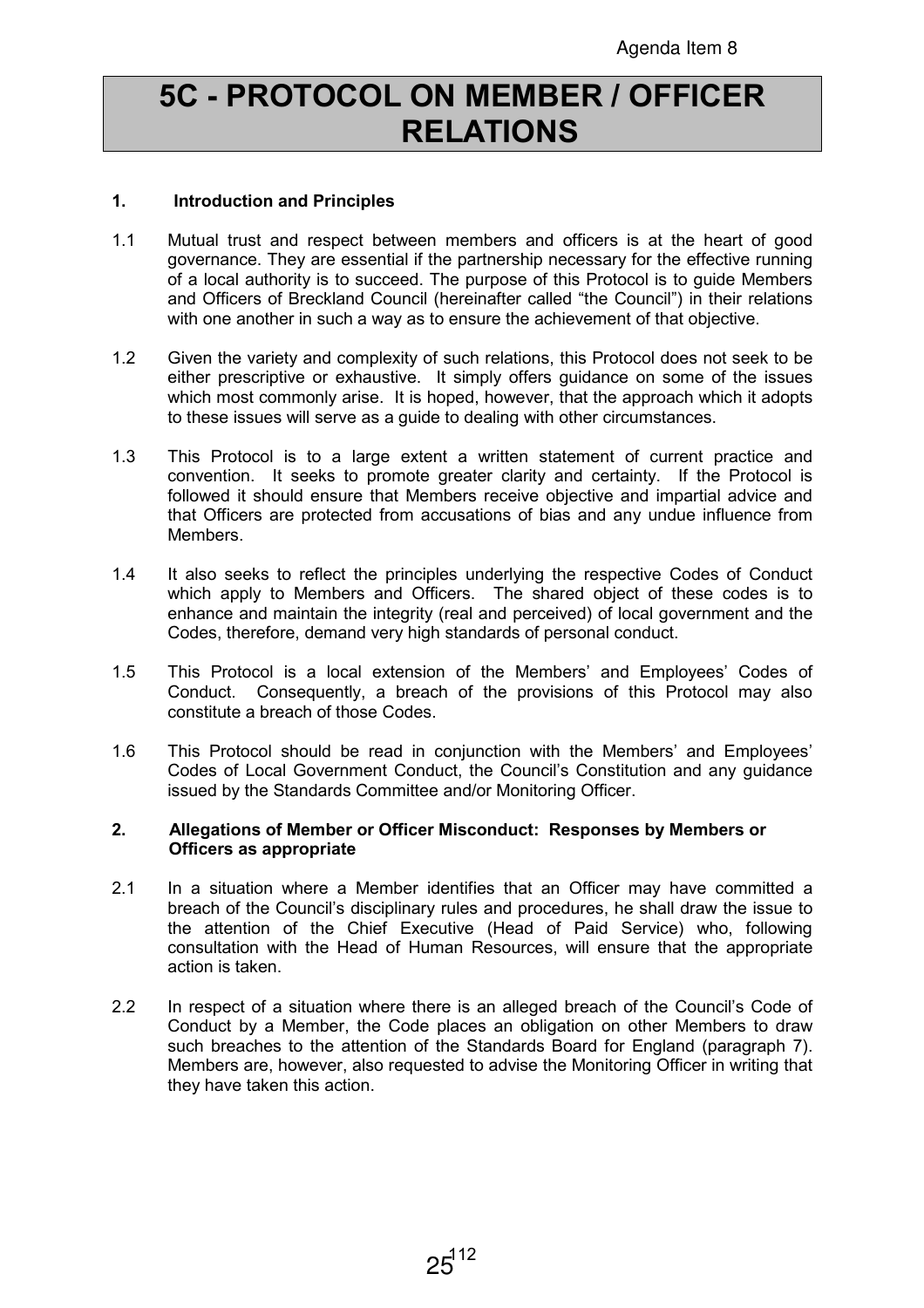# 5C - PROTOCOL ON MEMBER / OFFICER RELATIONS

## 1. Introduction and Principles

- 1.1 Mutual trust and respect between members and officers is at the heart of good governance. They are essential if the partnership necessary for the effective running of a local authority is to succeed. The purpose of this Protocol is to guide Members and Officers of Breckland Council (hereinafter called "the Council") in their relations with one another in such a way as to ensure the achievement of that objective.
- 1.2 Given the variety and complexity of such relations, this Protocol does not seek to be either prescriptive or exhaustive. It simply offers guidance on some of the issues which most commonly arise. It is hoped, however, that the approach which it adopts to these issues will serve as a guide to dealing with other circumstances.
- 1.3 This Protocol is to a large extent a written statement of current practice and convention. It seeks to promote greater clarity and certainty. If the Protocol is followed it should ensure that Members receive objective and impartial advice and that Officers are protected from accusations of bias and any undue influence from Members.
- 1.4 It also seeks to reflect the principles underlying the respective Codes of Conduct which apply to Members and Officers. The shared object of these codes is to enhance and maintain the integrity (real and perceived) of local government and the Codes, therefore, demand very high standards of personal conduct.
- 1.5 This Protocol is a local extension of the Members' and Employees' Codes of Conduct. Consequently, a breach of the provisions of this Protocol may also constitute a breach of those Codes.
- 1.6 This Protocol should be read in conjunction with the Members' and Employees' Codes of Local Government Conduct, the Council's Constitution and any guidance issued by the Standards Committee and/or Monitoring Officer.

#### 2. Allegations of Member or Officer Misconduct: Responses by Members or Officers as appropriate

- 2.1 In a situation where a Member identifies that an Officer may have committed a breach of the Council's disciplinary rules and procedures, he shall draw the issue to the attention of the Chief Executive (Head of Paid Service) who, following consultation with the Head of Human Resources, will ensure that the appropriate action is taken.
- 2.2 In respect of a situation where there is an alleged breach of the Council's Code of Conduct by a Member, the Code places an obligation on other Members to draw such breaches to the attention of the Standards Board for England (paragraph 7). Members are, however, also requested to advise the Monitoring Officer in writing that they have taken this action.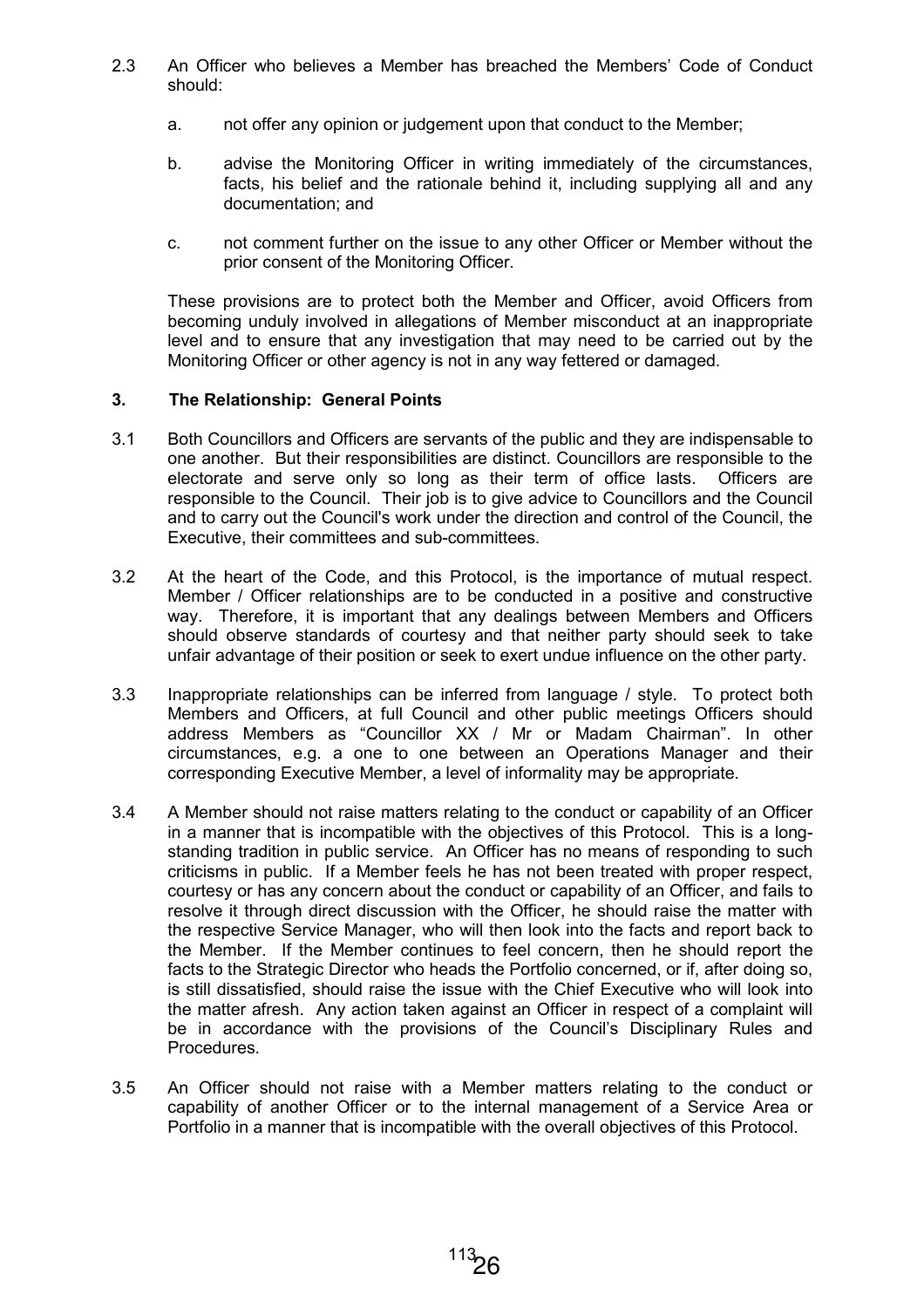- 2.3 An Officer who believes a Member has breached the Members' Code of Conduct should:
	- a. not offer any opinion or judgement upon that conduct to the Member;
	- b. advise the Monitoring Officer in writing immediately of the circumstances, facts, his belief and the rationale behind it, including supplying all and any documentation; and
	- c. not comment further on the issue to any other Officer or Member without the prior consent of the Monitoring Officer.

 These provisions are to protect both the Member and Officer, avoid Officers from becoming unduly involved in allegations of Member misconduct at an inappropriate level and to ensure that any investigation that may need to be carried out by the Monitoring Officer or other agency is not in any way fettered or damaged.

## 3. The Relationship: General Points

- 3.1 Both Councillors and Officers are servants of the public and they are indispensable to one another. But their responsibilities are distinct. Councillors are responsible to the electorate and serve only so long as their term of office lasts. Officers are responsible to the Council. Their job is to give advice to Councillors and the Council and to carry out the Council's work under the direction and control of the Council, the Executive, their committees and sub-committees.
- 3.2 At the heart of the Code, and this Protocol, is the importance of mutual respect. Member / Officer relationships are to be conducted in a positive and constructive way. Therefore, it is important that any dealings between Members and Officers should observe standards of courtesy and that neither party should seek to take unfair advantage of their position or seek to exert undue influence on the other party.
- 3.3 Inappropriate relationships can be inferred from language / style. To protect both Members and Officers, at full Council and other public meetings Officers should address Members as "Councillor XX / Mr or Madam Chairman". In other circumstances, e.g. a one to one between an Operations Manager and their corresponding Executive Member, a level of informality may be appropriate.
- 3.4 A Member should not raise matters relating to the conduct or capability of an Officer in a manner that is incompatible with the objectives of this Protocol. This is a longstanding tradition in public service. An Officer has no means of responding to such criticisms in public. If a Member feels he has not been treated with proper respect, courtesy or has any concern about the conduct or capability of an Officer, and fails to resolve it through direct discussion with the Officer, he should raise the matter with the respective Service Manager, who will then look into the facts and report back to the Member. If the Member continues to feel concern, then he should report the facts to the Strategic Director who heads the Portfolio concerned, or if, after doing so, is still dissatisfied, should raise the issue with the Chief Executive who will look into the matter afresh. Any action taken against an Officer in respect of a complaint will be in accordance with the provisions of the Council's Disciplinary Rules and **Procedures**
- 3.5 An Officer should not raise with a Member matters relating to the conduct or capability of another Officer or to the internal management of a Service Area or Portfolio in a manner that is incompatible with the overall objectives of this Protocol.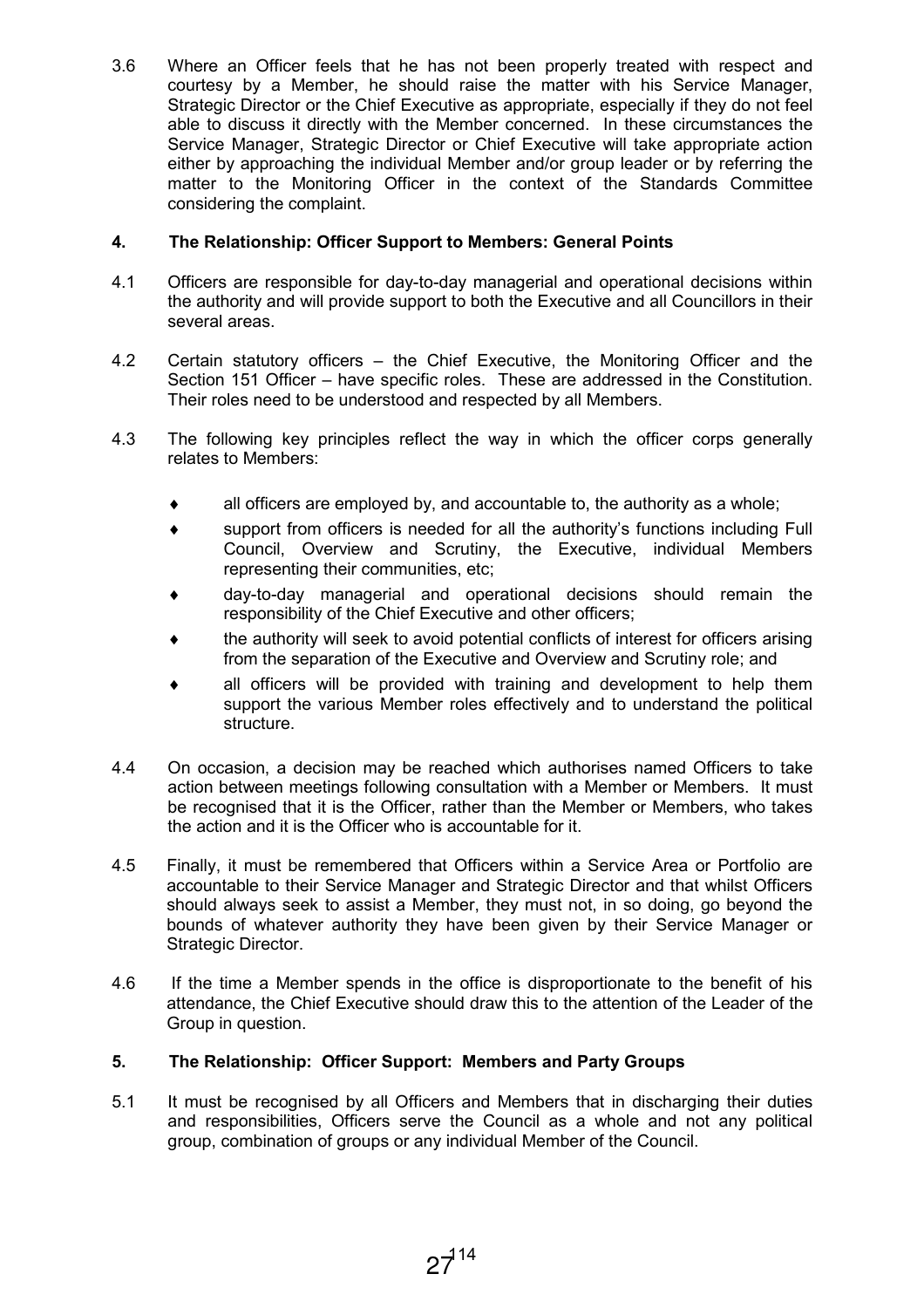3.6 Where an Officer feels that he has not been properly treated with respect and courtesy by a Member, he should raise the matter with his Service Manager, Strategic Director or the Chief Executive as appropriate, especially if they do not feel able to discuss it directly with the Member concerned. In these circumstances the Service Manager, Strategic Director or Chief Executive will take appropriate action either by approaching the individual Member and/or group leader or by referring the matter to the Monitoring Officer in the context of the Standards Committee considering the complaint.

## 4. The Relationship: Officer Support to Members: General Points

- 4.1 Officers are responsible for day-to-day managerial and operational decisions within the authority and will provide support to both the Executive and all Councillors in their several areas.
- 4.2 Certain statutory officers the Chief Executive, the Monitoring Officer and the Section 151 Officer – have specific roles. These are addressed in the Constitution. Their roles need to be understood and respected by all Members.
- 4.3 The following key principles reflect the way in which the officer corps generally relates to Members:
	- $\bullet$  all officers are employed by, and accountable to, the authority as a whole;
	- ♦ support from officers is needed for all the authority's functions including Full Council, Overview and Scrutiny, the Executive, individual Members representing their communities, etc;
	- day-to-day managerial and operational decisions should remain the responsibility of the Chief Executive and other officers;
	- the authority will seek to avoid potential conflicts of interest for officers arising from the separation of the Executive and Overview and Scrutiny role; and
	- all officers will be provided with training and development to help them support the various Member roles effectively and to understand the political structure.
- 4.4 On occasion, a decision may be reached which authorises named Officers to take action between meetings following consultation with a Member or Members. It must be recognised that it is the Officer, rather than the Member or Members, who takes the action and it is the Officer who is accountable for it.
- 4.5 Finally, it must be remembered that Officers within a Service Area or Portfolio are accountable to their Service Manager and Strategic Director and that whilst Officers should always seek to assist a Member, they must not, in so doing, go beyond the bounds of whatever authority they have been given by their Service Manager or Strategic Director.
- 4.6 If the time a Member spends in the office is disproportionate to the benefit of his attendance, the Chief Executive should draw this to the attention of the Leader of the Group in question.

## 5. The Relationship: Officer Support: Members and Party Groups

5.1 It must be recognised by all Officers and Members that in discharging their duties and responsibilities, Officers serve the Council as a whole and not any political group, combination of groups or any individual Member of the Council.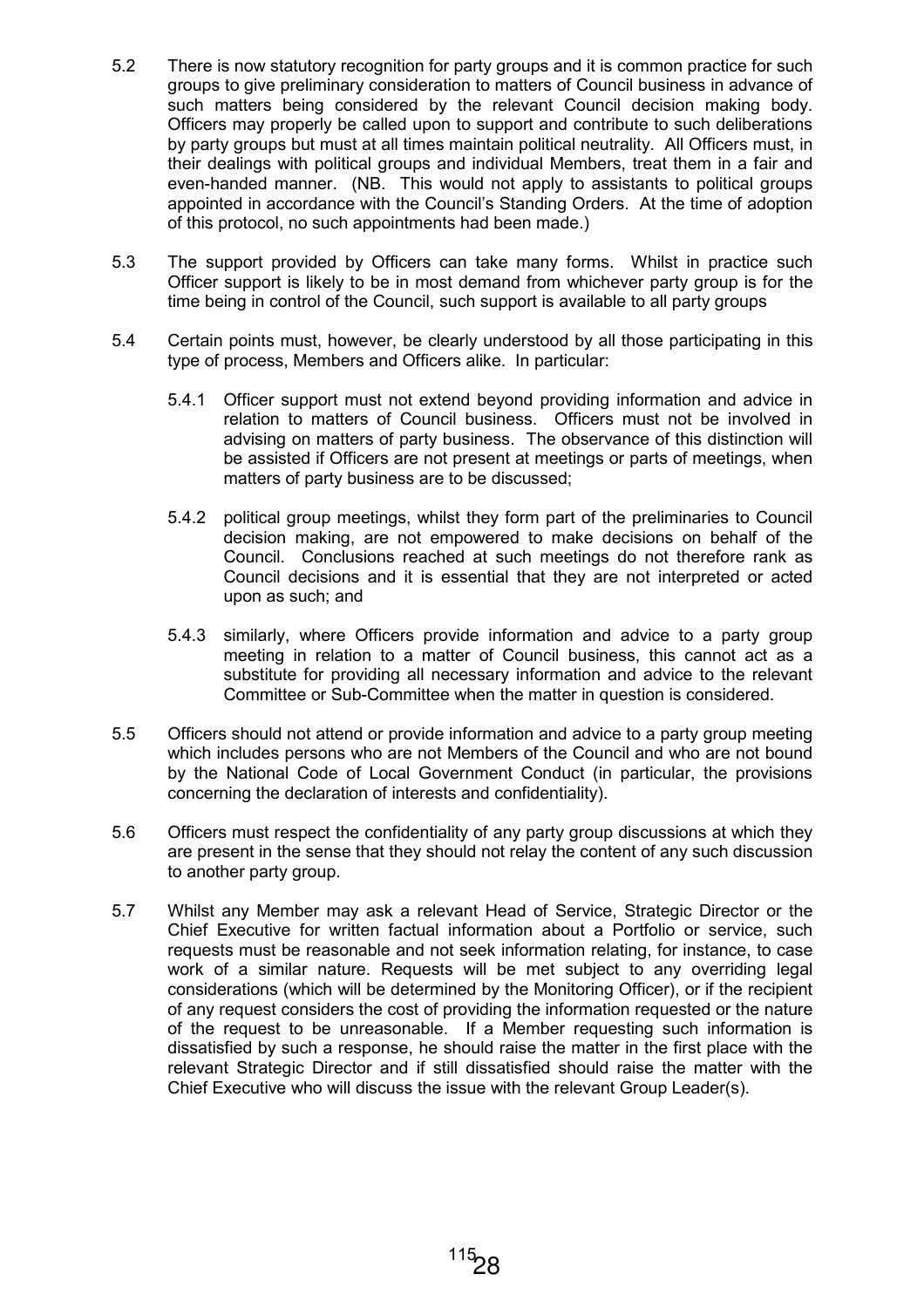- 5.2 There is now statutory recognition for party groups and it is common practice for such groups to give preliminary consideration to matters of Council business in advance of such matters being considered by the relevant Council decision making body. Officers may properly be called upon to support and contribute to such deliberations by party groups but must at all times maintain political neutrality. All Officers must, in their dealings with political groups and individual Members, treat them in a fair and even-handed manner. (NB. This would not apply to assistants to political groups appointed in accordance with the Council's Standing Orders. At the time of adoption of this protocol, no such appointments had been made.)
- 5.3 The support provided by Officers can take many forms. Whilst in practice such Officer support is likely to be in most demand from whichever party group is for the time being in control of the Council, such support is available to all party groups
- 5.4 Certain points must, however, be clearly understood by all those participating in this type of process, Members and Officers alike. In particular:
	- 5.4.1 Officer support must not extend beyond providing information and advice in relation to matters of Council business. Officers must not be involved in advising on matters of party business. The observance of this distinction will be assisted if Officers are not present at meetings or parts of meetings, when matters of party business are to be discussed;
	- 5.4.2 political group meetings, whilst they form part of the preliminaries to Council decision making, are not empowered to make decisions on behalf of the Council. Conclusions reached at such meetings do not therefore rank as Council decisions and it is essential that they are not interpreted or acted upon as such; and
	- 5.4.3 similarly, where Officers provide information and advice to a party group meeting in relation to a matter of Council business, this cannot act as a substitute for providing all necessary information and advice to the relevant Committee or Sub-Committee when the matter in question is considered.
- 5.5 Officers should not attend or provide information and advice to a party group meeting which includes persons who are not Members of the Council and who are not bound by the National Code of Local Government Conduct (in particular, the provisions concerning the declaration of interests and confidentiality).
- 5.6 Officers must respect the confidentiality of any party group discussions at which they are present in the sense that they should not relay the content of any such discussion to another party group.
- 5.7 Whilst any Member may ask a relevant Head of Service, Strategic Director or the Chief Executive for written factual information about a Portfolio or service, such requests must be reasonable and not seek information relating, for instance, to case work of a similar nature. Requests will be met subject to any overriding legal considerations (which will be determined by the Monitoring Officer), or if the recipient of any request considers the cost of providing the information requested or the nature of the request to be unreasonable. If a Member requesting such information is dissatisfied by such a response, he should raise the matter in the first place with the relevant Strategic Director and if still dissatisfied should raise the matter with the Chief Executive who will discuss the issue with the relevant Group Leader(s).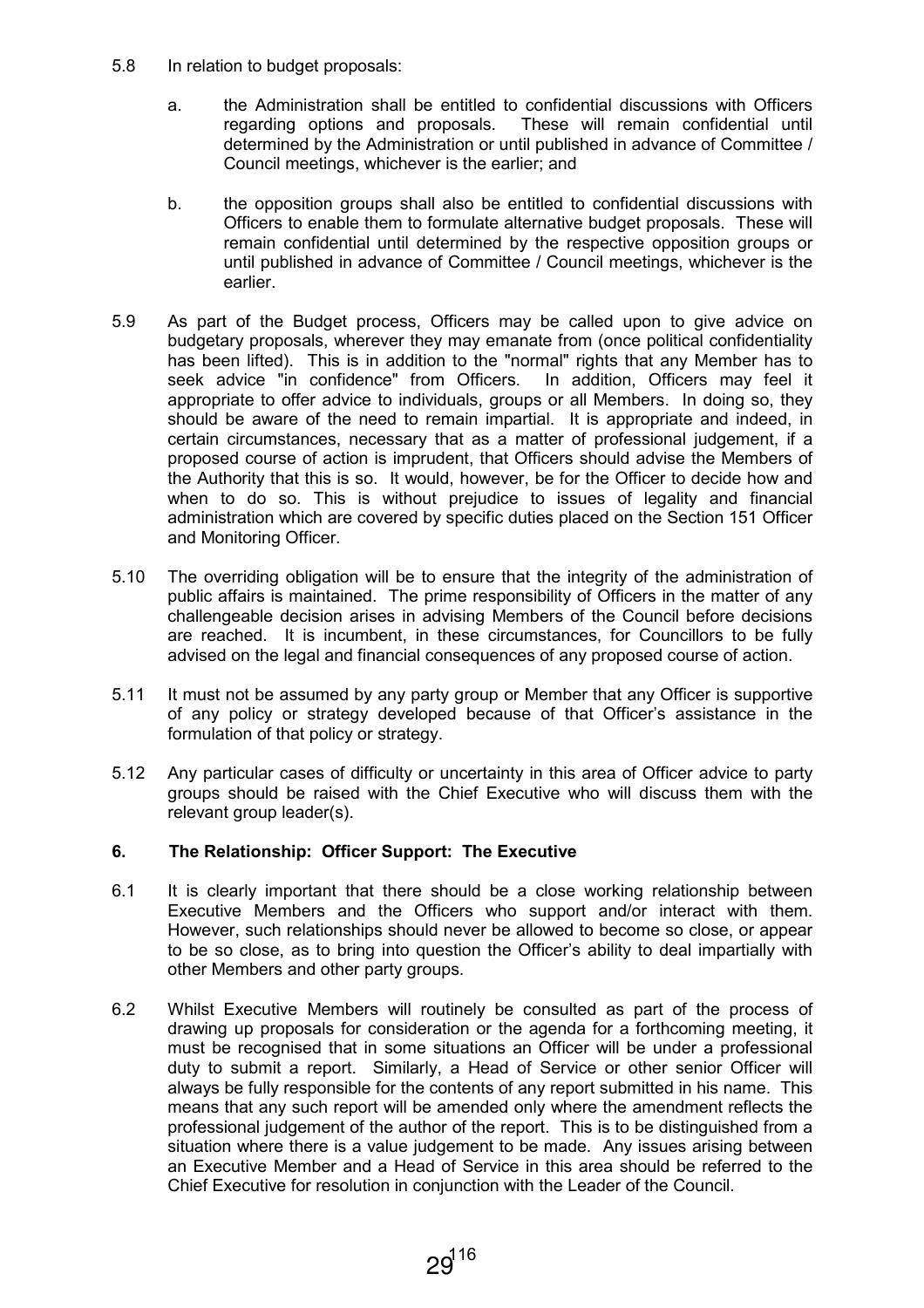- 5.8 In relation to budget proposals:
	- a. the Administration shall be entitled to confidential discussions with Officers regarding options and proposals. These will remain confidential until determined by the Administration or until published in advance of Committee / Council meetings, whichever is the earlier; and
	- b. the opposition groups shall also be entitled to confidential discussions with Officers to enable them to formulate alternative budget proposals. These will remain confidential until determined by the respective opposition groups or until published in advance of Committee / Council meetings, whichever is the earlier.
- 5.9 As part of the Budget process, Officers may be called upon to give advice on budgetary proposals, wherever they may emanate from (once political confidentiality has been lifted). This is in addition to the "normal" rights that any Member has to seek advice "in confidence" from Officers. In addition, Officers may feel it appropriate to offer advice to individuals, groups or all Members. In doing so, they should be aware of the need to remain impartial. It is appropriate and indeed, in certain circumstances, necessary that as a matter of professional judgement, if a proposed course of action is imprudent, that Officers should advise the Members of the Authority that this is so. It would, however, be for the Officer to decide how and when to do so. This is without prejudice to issues of legality and financial administration which are covered by specific duties placed on the Section 151 Officer and Monitoring Officer.
- 5.10 The overriding obligation will be to ensure that the integrity of the administration of public affairs is maintained. The prime responsibility of Officers in the matter of any challengeable decision arises in advising Members of the Council before decisions are reached. It is incumbent, in these circumstances, for Councillors to be fully advised on the legal and financial consequences of any proposed course of action.
- 5.11 It must not be assumed by any party group or Member that any Officer is supportive of any policy or strategy developed because of that Officer's assistance in the formulation of that policy or strategy.
- 5.12 Any particular cases of difficulty or uncertainty in this area of Officer advice to party groups should be raised with the Chief Executive who will discuss them with the relevant group leader(s).

## 6. The Relationship: Officer Support: The Executive

- 6.1 It is clearly important that there should be a close working relationship between Executive Members and the Officers who support and/or interact with them. However, such relationships should never be allowed to become so close, or appear to be so close, as to bring into question the Officer's ability to deal impartially with other Members and other party groups.
- 6.2 Whilst Executive Members will routinely be consulted as part of the process of drawing up proposals for consideration or the agenda for a forthcoming meeting, it must be recognised that in some situations an Officer will be under a professional duty to submit a report. Similarly, a Head of Service or other senior Officer will always be fully responsible for the contents of any report submitted in his name. This means that any such report will be amended only where the amendment reflects the professional judgement of the author of the report. This is to be distinguished from a situation where there is a value judgement to be made. Any issues arising between an Executive Member and a Head of Service in this area should be referred to the Chief Executive for resolution in conjunction with the Leader of the Council.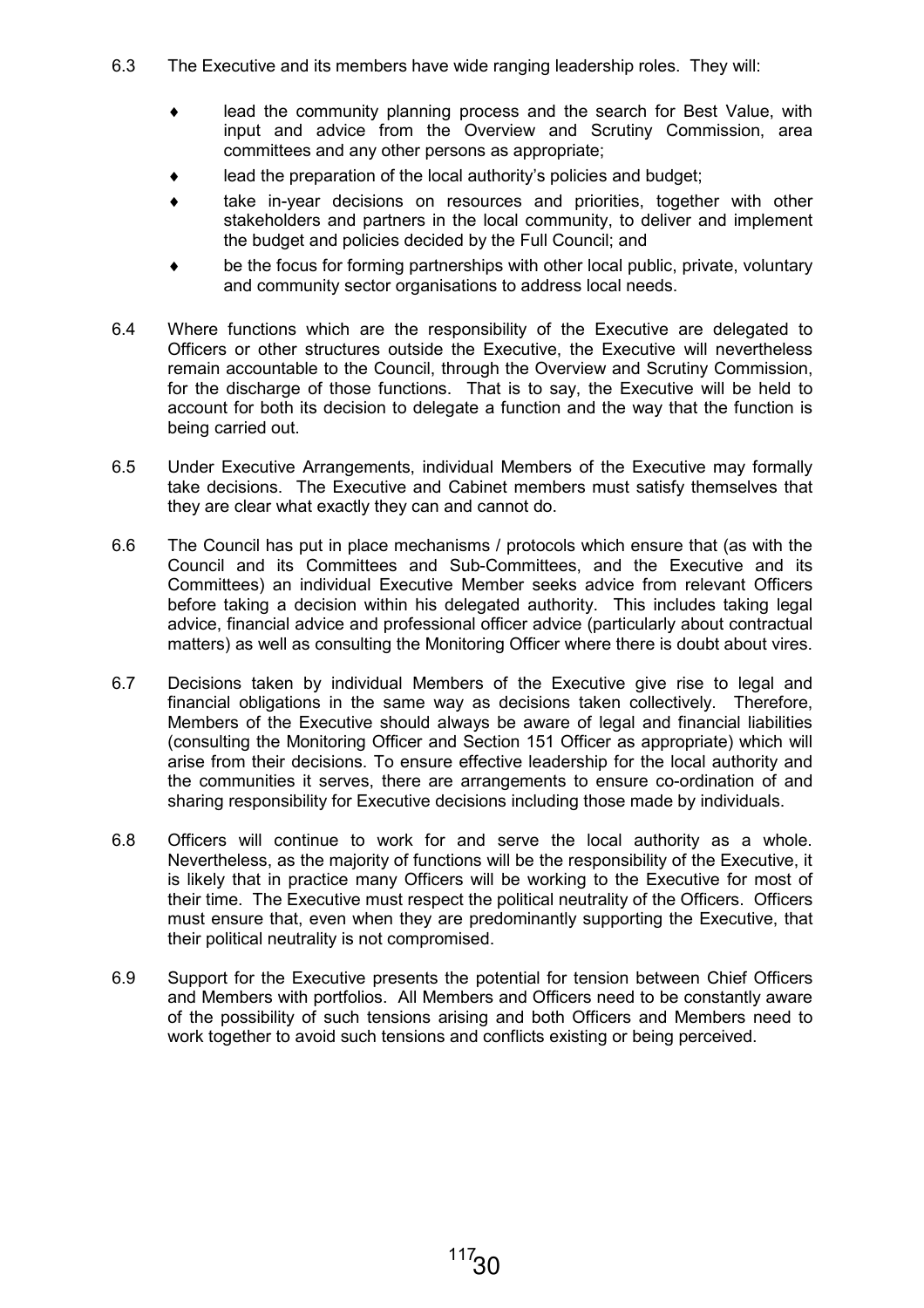- 6.3 The Executive and its members have wide ranging leadership roles. They will:
	- lead the community planning process and the search for Best Value, with input and advice from the Overview and Scrutiny Commission, area committees and any other persons as appropriate;
	- lead the preparation of the local authority's policies and budget;
	- take in-year decisions on resources and priorities, together with other stakeholders and partners in the local community, to deliver and implement the budget and policies decided by the Full Council; and
	- be the focus for forming partnerships with other local public, private, voluntary and community sector organisations to address local needs.
- 6.4 Where functions which are the responsibility of the Executive are delegated to Officers or other structures outside the Executive, the Executive will nevertheless remain accountable to the Council, through the Overview and Scrutiny Commission, for the discharge of those functions. That is to say, the Executive will be held to account for both its decision to delegate a function and the way that the function is being carried out.
- 6.5 Under Executive Arrangements, individual Members of the Executive may formally take decisions. The Executive and Cabinet members must satisfy themselves that they are clear what exactly they can and cannot do.
- 6.6 The Council has put in place mechanisms / protocols which ensure that (as with the Council and its Committees and Sub-Committees, and the Executive and its Committees) an individual Executive Member seeks advice from relevant Officers before taking a decision within his delegated authority. This includes taking legal advice, financial advice and professional officer advice (particularly about contractual matters) as well as consulting the Monitoring Officer where there is doubt about vires.
- 6.7 Decisions taken by individual Members of the Executive give rise to legal and financial obligations in the same way as decisions taken collectively. Therefore, Members of the Executive should always be aware of legal and financial liabilities (consulting the Monitoring Officer and Section 151 Officer as appropriate) which will arise from their decisions. To ensure effective leadership for the local authority and the communities it serves, there are arrangements to ensure co-ordination of and sharing responsibility for Executive decisions including those made by individuals.
- 6.8 Officers will continue to work for and serve the local authority as a whole. Nevertheless, as the majority of functions will be the responsibility of the Executive, it is likely that in practice many Officers will be working to the Executive for most of their time. The Executive must respect the political neutrality of the Officers. Officers must ensure that, even when they are predominantly supporting the Executive, that their political neutrality is not compromised.
- 6.9 Support for the Executive presents the potential for tension between Chief Officers and Members with portfolios. All Members and Officers need to be constantly aware of the possibility of such tensions arising and both Officers and Members need to work together to avoid such tensions and conflicts existing or being perceived.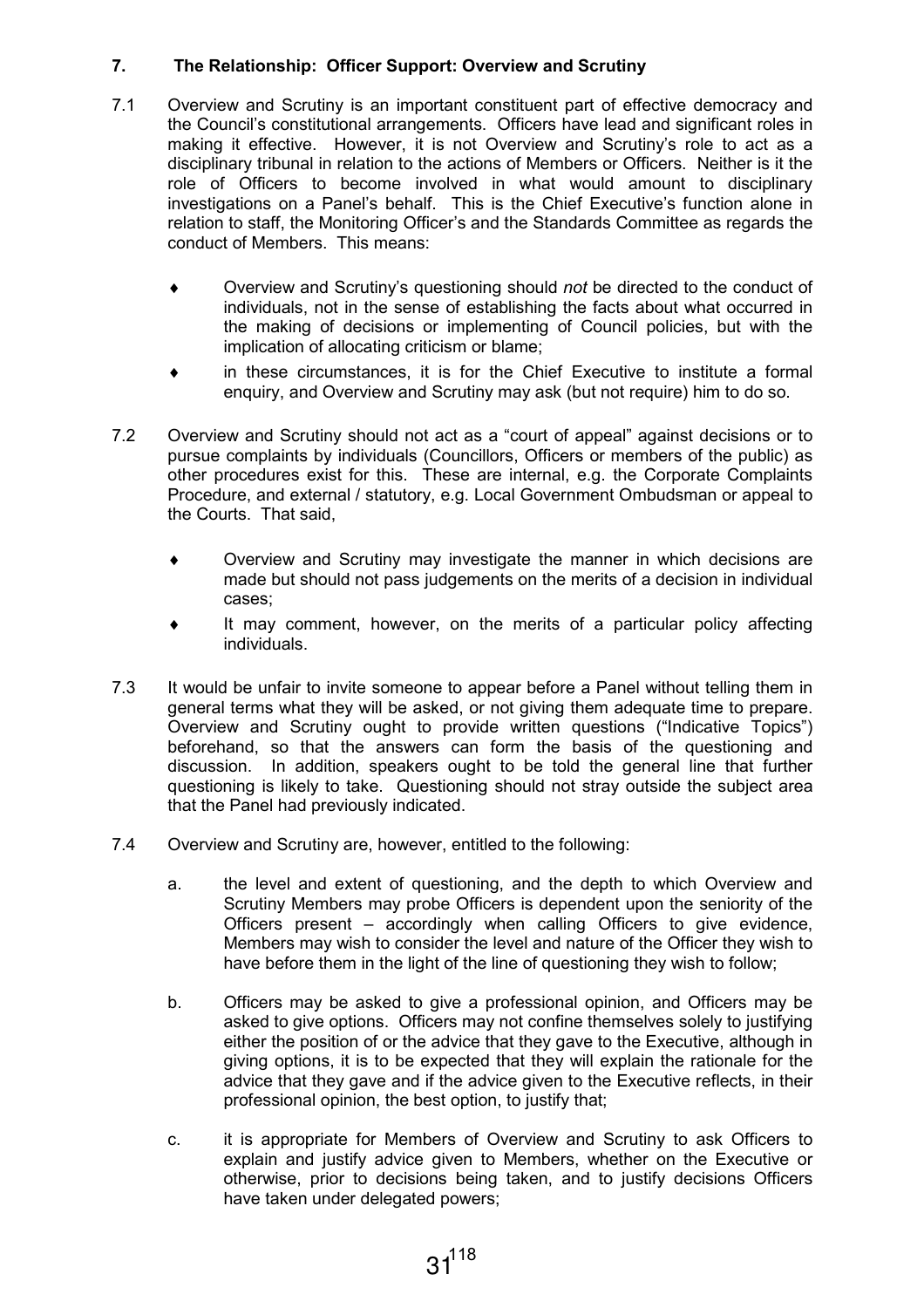## 7. The Relationship: Officer Support: Overview and Scrutiny

- 7.1 Overview and Scrutiny is an important constituent part of effective democracy and the Council's constitutional arrangements. Officers have lead and significant roles in making it effective. However, it is not Overview and Scrutiny's role to act as a disciplinary tribunal in relation to the actions of Members or Officers. Neither is it the role of Officers to become involved in what would amount to disciplinary investigations on a Panel's behalf. This is the Chief Executive's function alone in relation to staff, the Monitoring Officer's and the Standards Committee as regards the conduct of Members. This means:
	- ♦ Overview and Scrutiny's questioning should not be directed to the conduct of individuals, not in the sense of establishing the facts about what occurred in the making of decisions or implementing of Council policies, but with the implication of allocating criticism or blame;
	- in these circumstances, it is for the Chief Executive to institute a formal enquiry, and Overview and Scrutiny may ask (but not require) him to do so.
- 7.2 Overview and Scrutiny should not act as a "court of appeal" against decisions or to pursue complaints by individuals (Councillors, Officers or members of the public) as other procedures exist for this. These are internal, e.g. the Corporate Complaints Procedure, and external / statutory, e.g. Local Government Ombudsman or appeal to the Courts. That said,
	- Overview and Scrutiny may investigate the manner in which decisions are made but should not pass judgements on the merits of a decision in individual cases;
	- ♦ It may comment, however, on the merits of a particular policy affecting individuals.
- 7.3 It would be unfair to invite someone to appear before a Panel without telling them in general terms what they will be asked, or not giving them adequate time to prepare. Overview and Scrutiny ought to provide written questions ("Indicative Topics") beforehand, so that the answers can form the basis of the questioning and discussion. In addition, speakers ought to be told the general line that further questioning is likely to take. Questioning should not stray outside the subject area that the Panel had previously indicated.
- 7.4 Overview and Scrutiny are, however, entitled to the following:
	- a. the level and extent of questioning, and the depth to which Overview and Scrutiny Members may probe Officers is dependent upon the seniority of the Officers present – accordingly when calling Officers to give evidence, Members may wish to consider the level and nature of the Officer they wish to have before them in the light of the line of questioning they wish to follow;
	- b. Officers may be asked to give a professional opinion, and Officers may be asked to give options. Officers may not confine themselves solely to justifying either the position of or the advice that they gave to the Executive, although in giving options, it is to be expected that they will explain the rationale for the advice that they gave and if the advice given to the Executive reflects, in their professional opinion, the best option, to justify that;
	- c. it is appropriate for Members of Overview and Scrutiny to ask Officers to explain and justify advice given to Members, whether on the Executive or otherwise, prior to decisions being taken, and to justify decisions Officers have taken under delegated powers;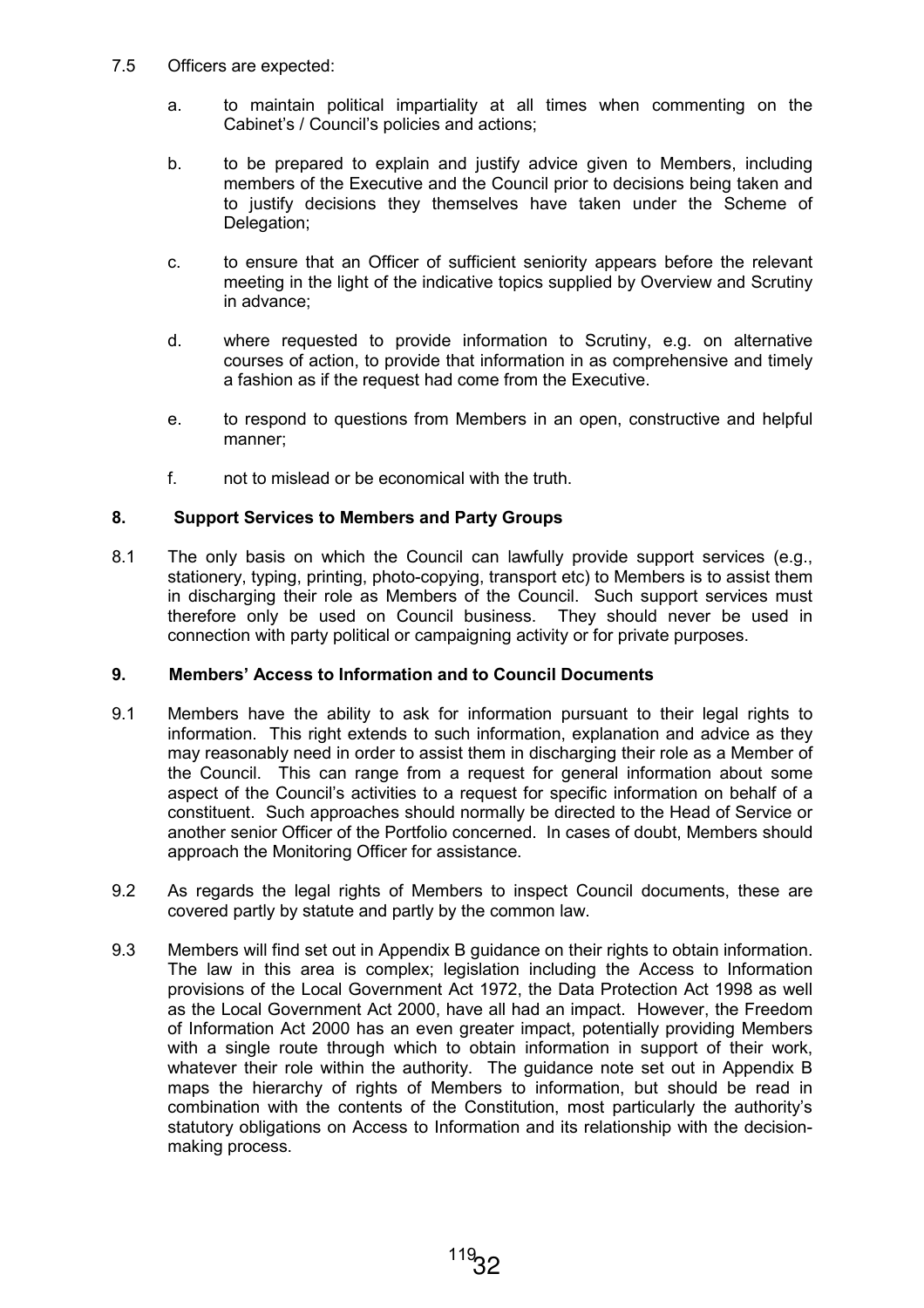- 7.5 Officers are expected:
	- a. to maintain political impartiality at all times when commenting on the Cabinet's / Council's policies and actions;
	- b. to be prepared to explain and justify advice given to Members, including members of the Executive and the Council prior to decisions being taken and to justify decisions they themselves have taken under the Scheme of Delegation;
	- c. to ensure that an Officer of sufficient seniority appears before the relevant meeting in the light of the indicative topics supplied by Overview and Scrutiny in advance;
	- d. where requested to provide information to Scrutiny, e.g. on alternative courses of action, to provide that information in as comprehensive and timely a fashion as if the request had come from the Executive.
	- e. to respond to questions from Members in an open, constructive and helpful manner;
	- f. not to mislead or be economical with the truth.

## 8. Support Services to Members and Party Groups

8.1 The only basis on which the Council can lawfully provide support services (e.g., stationery, typing, printing, photo-copying, transport etc) to Members is to assist them in discharging their role as Members of the Council. Such support services must therefore only be used on Council business. They should never be used in connection with party political or campaigning activity or for private purposes.

## 9. Members' Access to Information and to Council Documents

- 9.1 Members have the ability to ask for information pursuant to their legal rights to information. This right extends to such information, explanation and advice as they may reasonably need in order to assist them in discharging their role as a Member of the Council. This can range from a request for general information about some aspect of the Council's activities to a request for specific information on behalf of a constituent. Such approaches should normally be directed to the Head of Service or another senior Officer of the Portfolio concerned. In cases of doubt, Members should approach the Monitoring Officer for assistance.
- 9.2 As regards the legal rights of Members to inspect Council documents, these are covered partly by statute and partly by the common law.
- 9.3 Members will find set out in Appendix B guidance on their rights to obtain information. The law in this area is complex; legislation including the Access to Information provisions of the Local Government Act 1972, the Data Protection Act 1998 as well as the Local Government Act 2000, have all had an impact. However, the Freedom of Information Act 2000 has an even greater impact, potentially providing Members with a single route through which to obtain information in support of their work, whatever their role within the authority. The guidance note set out in Appendix B maps the hierarchy of rights of Members to information, but should be read in combination with the contents of the Constitution, most particularly the authority's statutory obligations on Access to Information and its relationship with the decisionmaking process.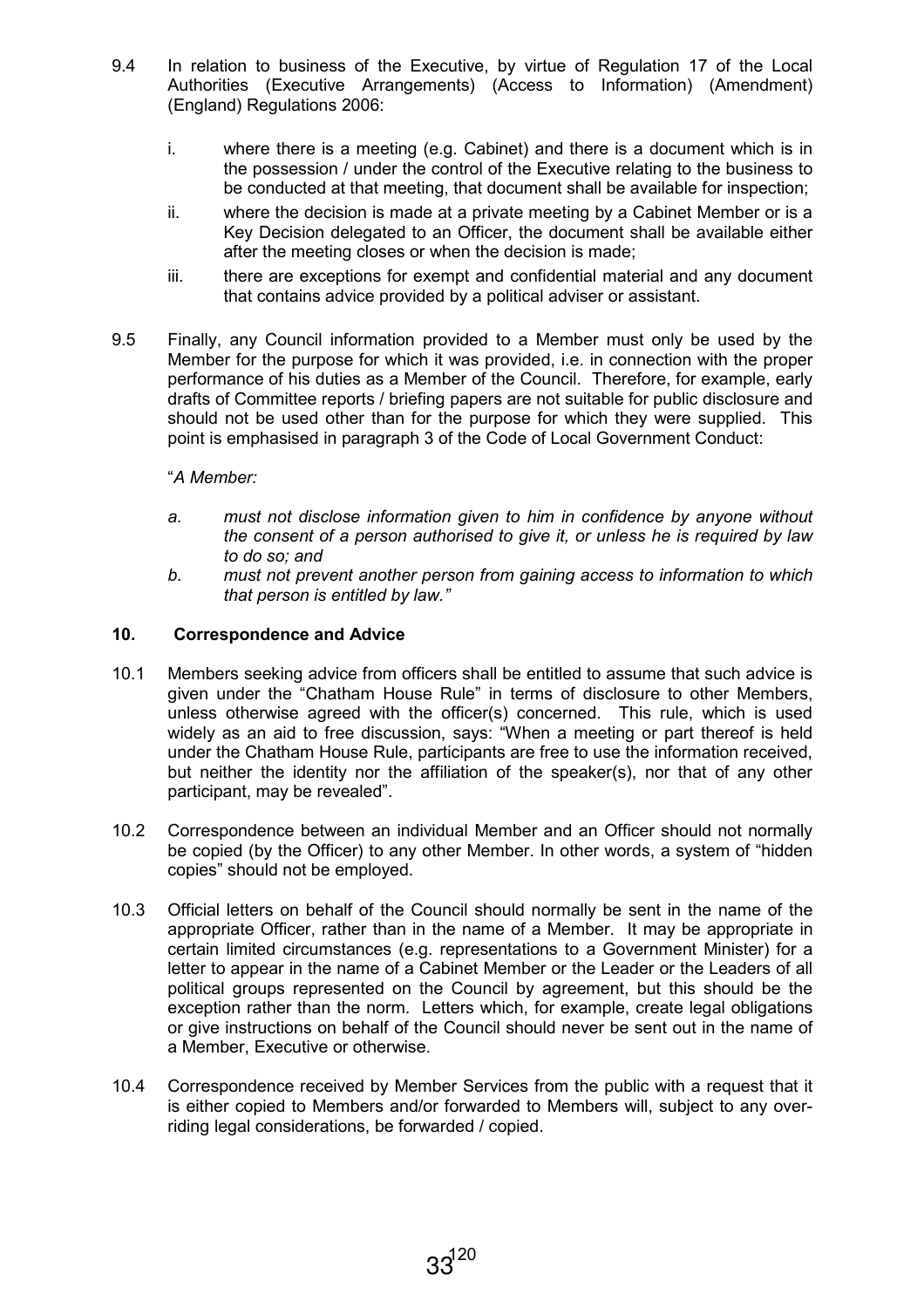- 9.4 In relation to business of the Executive, by virtue of Regulation 17 of the Local Authorities (Executive Arrangements) (Access to Information) (Amendment) (England) Regulations 2006:
	- i. where there is a meeting (e.g. Cabinet) and there is a document which is in the possession / under the control of the Executive relating to the business to be conducted at that meeting, that document shall be available for inspection;
	- ii. where the decision is made at a private meeting by a Cabinet Member or is a Key Decision delegated to an Officer, the document shall be available either after the meeting closes or when the decision is made;
	- iii. there are exceptions for exempt and confidential material and any document that contains advice provided by a political adviser or assistant.
- 9.5 Finally, any Council information provided to a Member must only be used by the Member for the purpose for which it was provided, i.e. in connection with the proper performance of his duties as a Member of the Council. Therefore, for example, early drafts of Committee reports / briefing papers are not suitable for public disclosure and should not be used other than for the purpose for which they were supplied. This point is emphasised in paragraph 3 of the Code of Local Government Conduct:

## "A Member:

- a. must not disclose information given to him in confidence by anyone without the consent of a person authorised to give it, or unless he is required by law to do so; and
- b. must not prevent another person from gaining access to information to which that person is entitled by law."

#### 10. Correspondence and Advice

- 10.1 Members seeking advice from officers shall be entitled to assume that such advice is given under the "Chatham House Rule" in terms of disclosure to other Members, unless otherwise agreed with the officer(s) concerned. This rule, which is used widely as an aid to free discussion, says: "When a meeting or part thereof is held under the Chatham House Rule, participants are free to use the information received, but neither the identity nor the affiliation of the speaker(s), nor that of any other participant, may be revealed".
- 10.2 Correspondence between an individual Member and an Officer should not normally be copied (by the Officer) to any other Member. In other words, a system of "hidden copies" should not be employed.
- 10.3 Official letters on behalf of the Council should normally be sent in the name of the appropriate Officer, rather than in the name of a Member. It may be appropriate in certain limited circumstances (e.g. representations to a Government Minister) for a letter to appear in the name of a Cabinet Member or the Leader or the Leaders of all political groups represented on the Council by agreement, but this should be the exception rather than the norm. Letters which, for example, create legal obligations or give instructions on behalf of the Council should never be sent out in the name of a Member, Executive or otherwise.
- 10.4 Correspondence received by Member Services from the public with a request that it is either copied to Members and/or forwarded to Members will, subject to any overriding legal considerations, be forwarded / copied.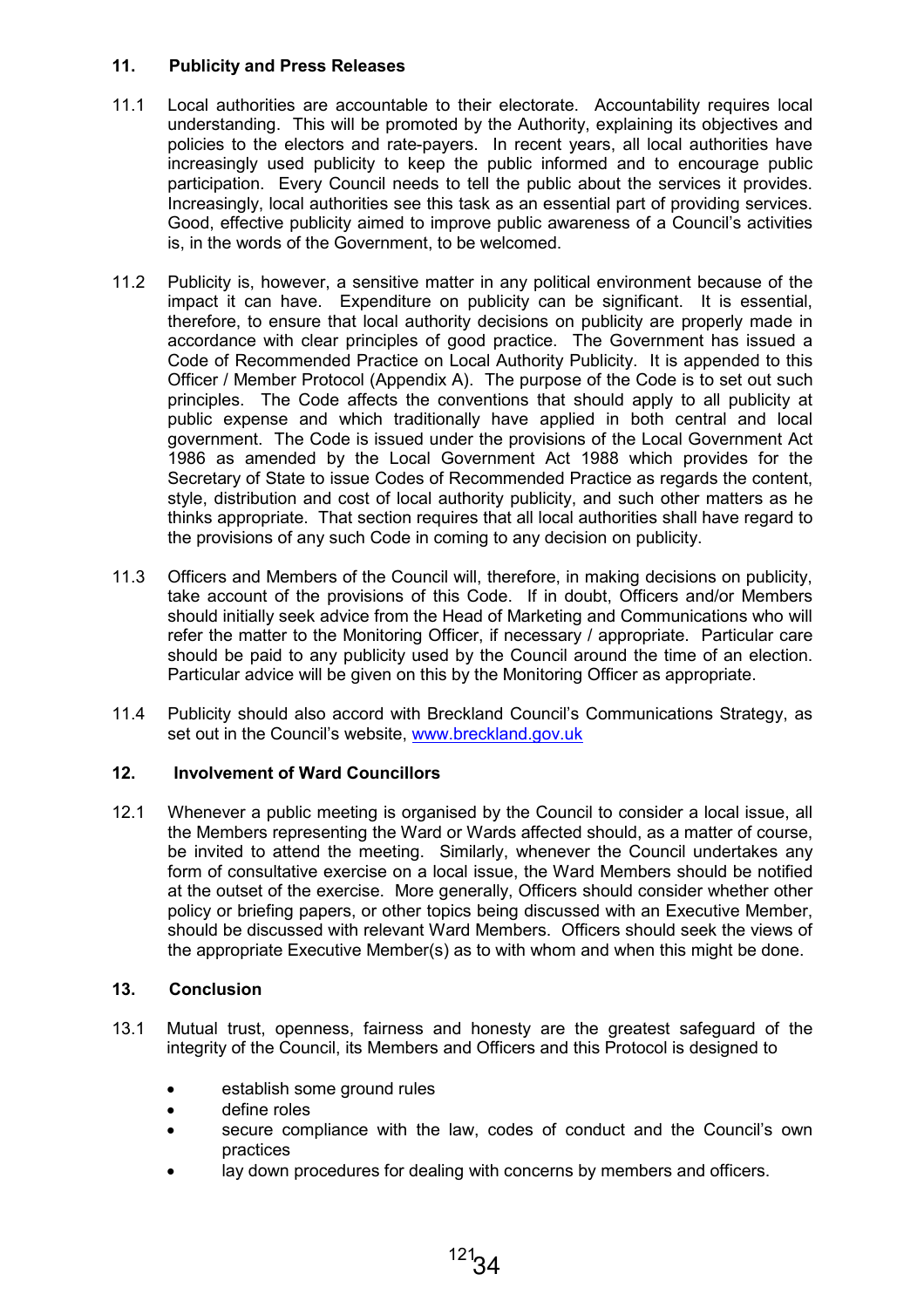## 11. Publicity and Press Releases

- 11.1 Local authorities are accountable to their electorate. Accountability requires local understanding. This will be promoted by the Authority, explaining its objectives and policies to the electors and rate-payers. In recent years, all local authorities have increasingly used publicity to keep the public informed and to encourage public participation. Every Council needs to tell the public about the services it provides. Increasingly, local authorities see this task as an essential part of providing services. Good, effective publicity aimed to improve public awareness of a Council's activities is, in the words of the Government, to be welcomed.
- 11.2 Publicity is, however, a sensitive matter in any political environment because of the impact it can have. Expenditure on publicity can be significant. It is essential, therefore, to ensure that local authority decisions on publicity are properly made in accordance with clear principles of good practice. The Government has issued a Code of Recommended Practice on Local Authority Publicity. It is appended to this Officer / Member Protocol (Appendix A). The purpose of the Code is to set out such principles. The Code affects the conventions that should apply to all publicity at public expense and which traditionally have applied in both central and local government. The Code is issued under the provisions of the Local Government Act 1986 as amended by the Local Government Act 1988 which provides for the Secretary of State to issue Codes of Recommended Practice as regards the content, style, distribution and cost of local authority publicity, and such other matters as he thinks appropriate. That section requires that all local authorities shall have regard to the provisions of any such Code in coming to any decision on publicity.
- 11.3 Officers and Members of the Council will, therefore, in making decisions on publicity, take account of the provisions of this Code. If in doubt, Officers and/or Members should initially seek advice from the Head of Marketing and Communications who will refer the matter to the Monitoring Officer, if necessary / appropriate. Particular care should be paid to any publicity used by the Council around the time of an election. Particular advice will be given on this by the Monitoring Officer as appropriate.
- 11.4 Publicity should also accord with Breckland Council's Communications Strategy, as set out in the Council's website, www.breckland.gov.uk

## 12. Involvement of Ward Councillors

12.1 Whenever a public meeting is organised by the Council to consider a local issue, all the Members representing the Ward or Wards affected should, as a matter of course, be invited to attend the meeting. Similarly, whenever the Council undertakes any form of consultative exercise on a local issue, the Ward Members should be notified at the outset of the exercise. More generally, Officers should consider whether other policy or briefing papers, or other topics being discussed with an Executive Member, should be discussed with relevant Ward Members. Officers should seek the views of the appropriate Executive Member(s) as to with whom and when this might be done.

## 13. Conclusion

- 13.1 Mutual trust, openness, fairness and honesty are the greatest safeguard of the integrity of the Council, its Members and Officers and this Protocol is designed to
	- establish some ground rules
	- define roles
	- secure compliance with the law, codes of conduct and the Council's own practices
	- lay down procedures for dealing with concerns by members and officers.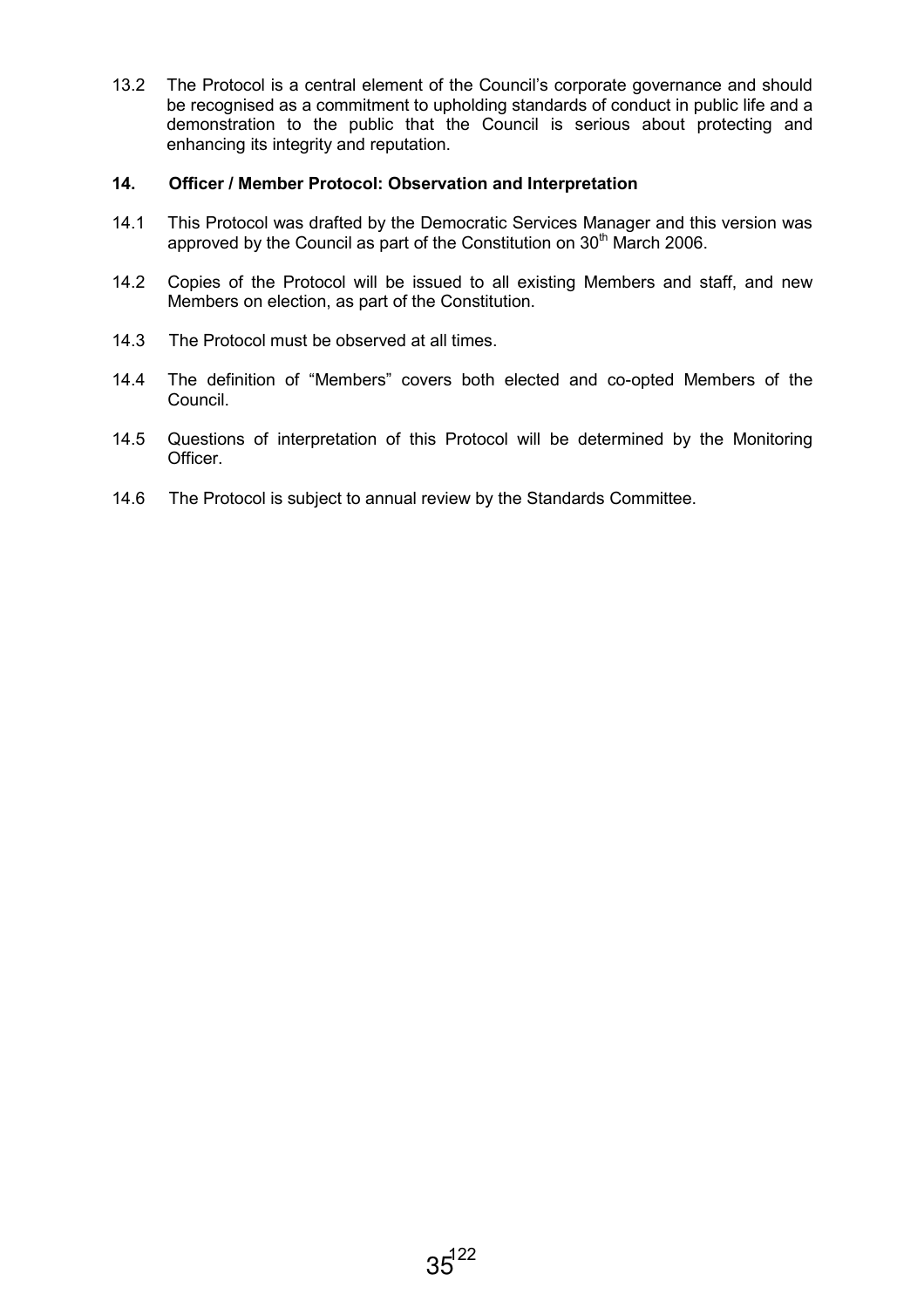13.2 The Protocol is a central element of the Council's corporate governance and should be recognised as a commitment to upholding standards of conduct in public life and a demonstration to the public that the Council is serious about protecting and enhancing its integrity and reputation.

## 14. Officer / Member Protocol: Observation and Interpretation

- 14.1 This Protocol was drafted by the Democratic Services Manager and this version was approved by the Council as part of the Constitution on 30<sup>th</sup> March 2006.
- 14.2 Copies of the Protocol will be issued to all existing Members and staff, and new Members on election, as part of the Constitution.
- 14.3 The Protocol must be observed at all times.
- 14.4 The definition of "Members" covers both elected and co-opted Members of the Council.
- 14.5 Questions of interpretation of this Protocol will be determined by the Monitoring **Officer**
- 14.6 The Protocol is subject to annual review by the Standards Committee.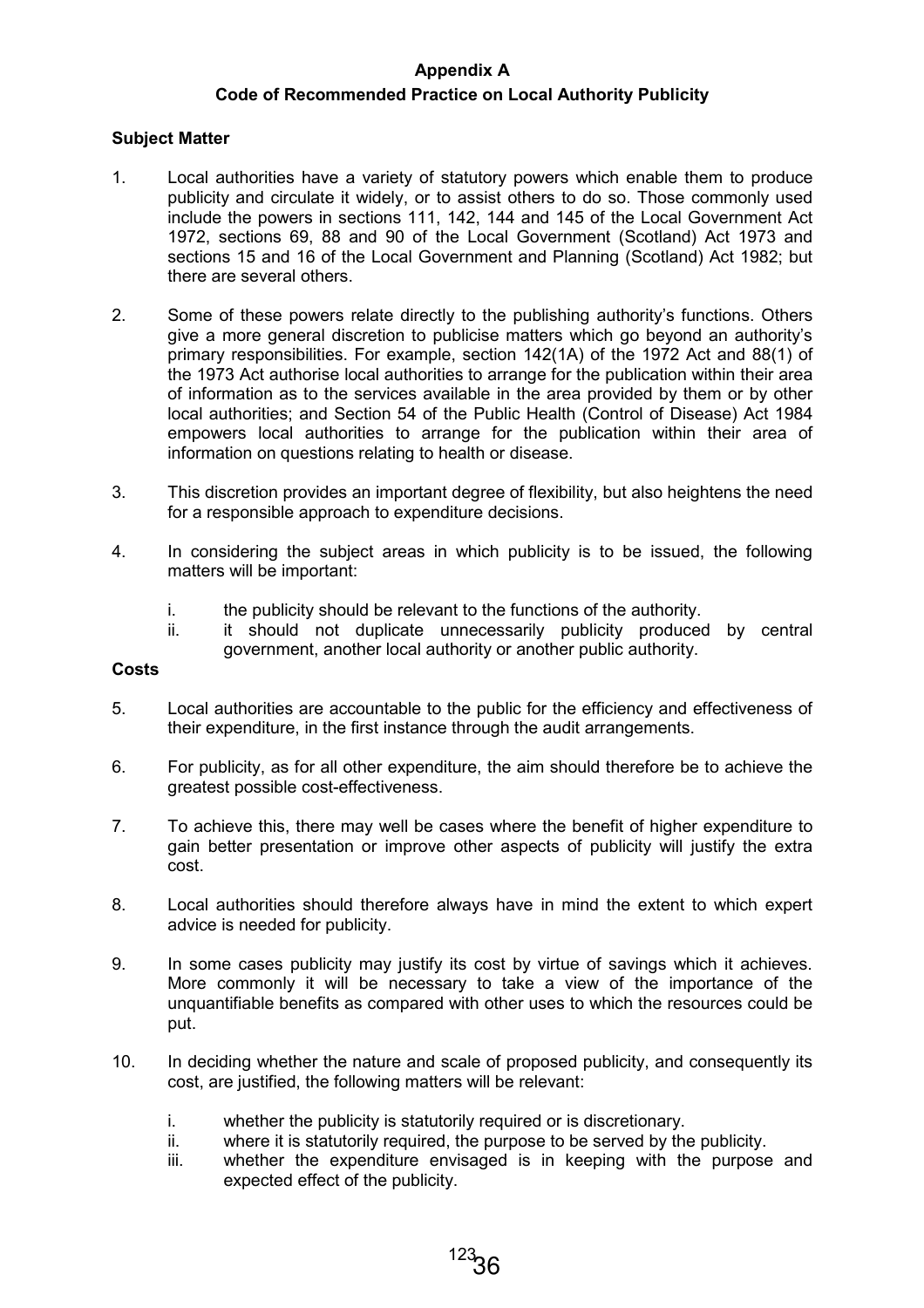## Appendix A

## Code of Recommended Practice on Local Authority Publicity

## Subject Matter

- 1. Local authorities have a variety of statutory powers which enable them to produce publicity and circulate it widely, or to assist others to do so. Those commonly used include the powers in sections 111, 142, 144 and 145 of the Local Government Act 1972, sections 69, 88 and 90 of the Local Government (Scotland) Act 1973 and sections 15 and 16 of the Local Government and Planning (Scotland) Act 1982; but there are several others.
- 2. Some of these powers relate directly to the publishing authority's functions. Others give a more general discretion to publicise matters which go beyond an authority's primary responsibilities. For example, section 142(1A) of the 1972 Act and 88(1) of the 1973 Act authorise local authorities to arrange for the publication within their area of information as to the services available in the area provided by them or by other local authorities; and Section 54 of the Public Health (Control of Disease) Act 1984 empowers local authorities to arrange for the publication within their area of information on questions relating to health or disease.
- 3. This discretion provides an important degree of flexibility, but also heightens the need for a responsible approach to expenditure decisions.
- 4. In considering the subject areas in which publicity is to be issued, the following matters will be important:
	- i. the publicity should be relevant to the functions of the authority.
	- ii. it should not duplicate unnecessarily publicity produced by central government, another local authority or another public authority.

## Costs

- 5. Local authorities are accountable to the public for the efficiency and effectiveness of their expenditure, in the first instance through the audit arrangements.
- 6. For publicity, as for all other expenditure, the aim should therefore be to achieve the greatest possible cost-effectiveness.
- 7. To achieve this, there may well be cases where the benefit of higher expenditure to gain better presentation or improve other aspects of publicity will justify the extra cost.
- 8. Local authorities should therefore always have in mind the extent to which expert advice is needed for publicity.
- 9. In some cases publicity may justify its cost by virtue of savings which it achieves. More commonly it will be necessary to take a view of the importance of the unquantifiable benefits as compared with other uses to which the resources could be put.
- 10. In deciding whether the nature and scale of proposed publicity, and consequently its cost, are justified, the following matters will be relevant:
	- i. whether the publicity is statutorily required or is discretionary.
	- ii. where it is statutorily required, the purpose to be served by the publicity.
	- iii. whether the expenditure envisaged is in keeping with the purpose and expected effect of the publicity.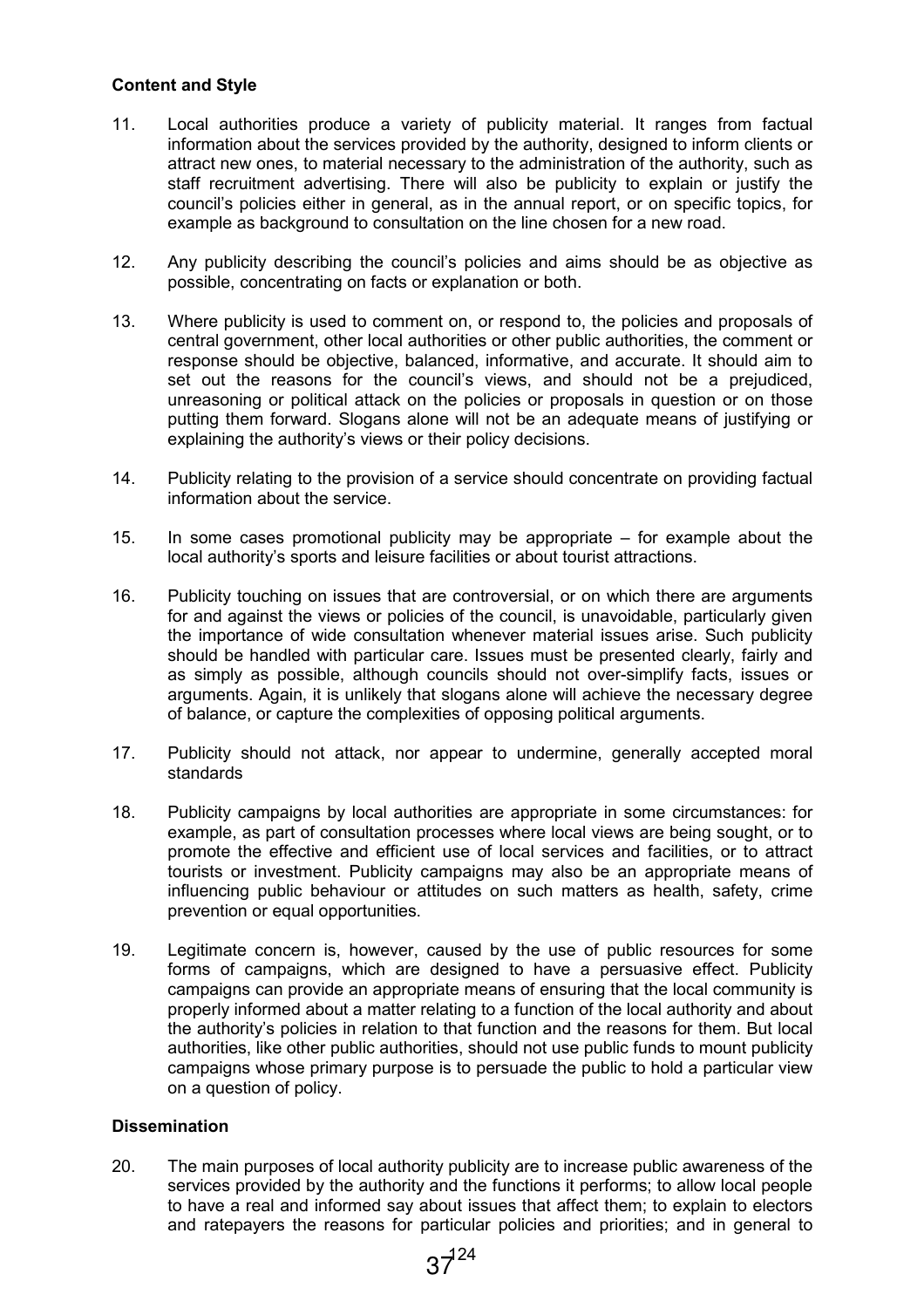## Content and Style

- 11. Local authorities produce a variety of publicity material. It ranges from factual information about the services provided by the authority, designed to inform clients or attract new ones, to material necessary to the administration of the authority, such as staff recruitment advertising. There will also be publicity to explain or justify the council's policies either in general, as in the annual report, or on specific topics, for example as background to consultation on the line chosen for a new road.
- 12. Any publicity describing the council's policies and aims should be as objective as possible, concentrating on facts or explanation or both.
- 13. Where publicity is used to comment on, or respond to, the policies and proposals of central government, other local authorities or other public authorities, the comment or response should be objective, balanced, informative, and accurate. It should aim to set out the reasons for the council's views, and should not be a prejudiced, unreasoning or political attack on the policies or proposals in question or on those putting them forward. Slogans alone will not be an adequate means of justifying or explaining the authority's views or their policy decisions.
- 14. Publicity relating to the provision of a service should concentrate on providing factual information about the service.
- 15. In some cases promotional publicity may be appropriate for example about the local authority's sports and leisure facilities or about tourist attractions.
- 16. Publicity touching on issues that are controversial, or on which there are arguments for and against the views or policies of the council, is unavoidable, particularly given the importance of wide consultation whenever material issues arise. Such publicity should be handled with particular care. Issues must be presented clearly, fairly and as simply as possible, although councils should not over-simplify facts, issues or arguments. Again, it is unlikely that slogans alone will achieve the necessary degree of balance, or capture the complexities of opposing political arguments.
- 17. Publicity should not attack, nor appear to undermine, generally accepted moral standards
- 18. Publicity campaigns by local authorities are appropriate in some circumstances: for example, as part of consultation processes where local views are being sought, or to promote the effective and efficient use of local services and facilities, or to attract tourists or investment. Publicity campaigns may also be an appropriate means of influencing public behaviour or attitudes on such matters as health, safety, crime prevention or equal opportunities.
- 19. Legitimate concern is, however, caused by the use of public resources for some forms of campaigns, which are designed to have a persuasive effect. Publicity campaigns can provide an appropriate means of ensuring that the local community is properly informed about a matter relating to a function of the local authority and about the authority's policies in relation to that function and the reasons for them. But local authorities, like other public authorities, should not use public funds to mount publicity campaigns whose primary purpose is to persuade the public to hold a particular view on a question of policy.

## **Dissemination**

20. The main purposes of local authority publicity are to increase public awareness of the services provided by the authority and the functions it performs; to allow local people to have a real and informed say about issues that affect them; to explain to electors and ratepayers the reasons for particular policies and priorities; and in general to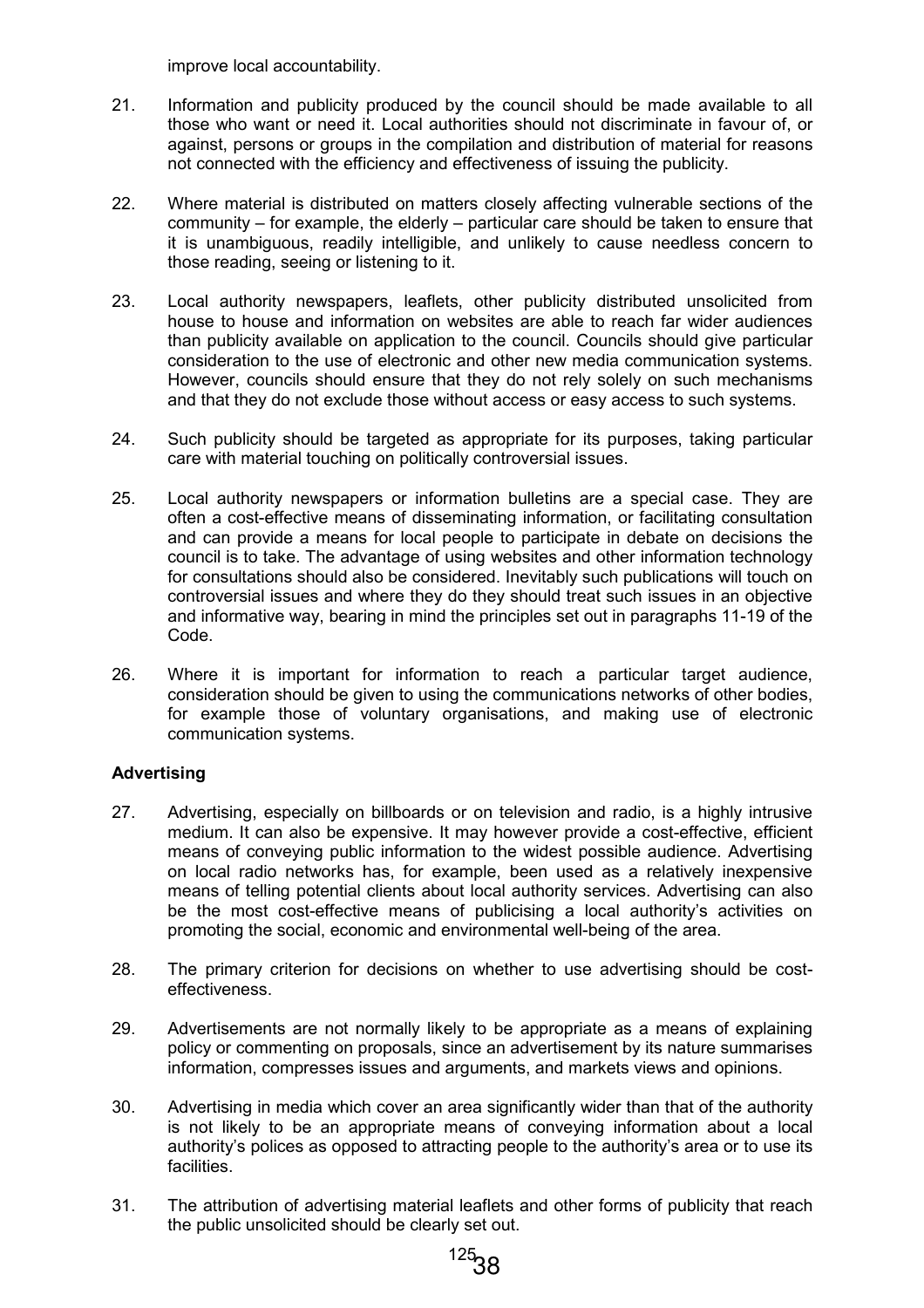improve local accountability.

- 21. Information and publicity produced by the council should be made available to all those who want or need it. Local authorities should not discriminate in favour of, or against, persons or groups in the compilation and distribution of material for reasons not connected with the efficiency and effectiveness of issuing the publicity.
- 22. Where material is distributed on matters closely affecting vulnerable sections of the community – for example, the elderly – particular care should be taken to ensure that it is unambiguous, readily intelligible, and unlikely to cause needless concern to those reading, seeing or listening to it.
- 23. Local authority newspapers, leaflets, other publicity distributed unsolicited from house to house and information on websites are able to reach far wider audiences than publicity available on application to the council. Councils should give particular consideration to the use of electronic and other new media communication systems. However, councils should ensure that they do not rely solely on such mechanisms and that they do not exclude those without access or easy access to such systems.
- 24. Such publicity should be targeted as appropriate for its purposes, taking particular care with material touching on politically controversial issues.
- 25. Local authority newspapers or information bulletins are a special case. They are often a cost-effective means of disseminating information, or facilitating consultation and can provide a means for local people to participate in debate on decisions the council is to take. The advantage of using websites and other information technology for consultations should also be considered. Inevitably such publications will touch on controversial issues and where they do they should treat such issues in an objective and informative way, bearing in mind the principles set out in paragraphs 11-19 of the Code.
- 26. Where it is important for information to reach a particular target audience, consideration should be given to using the communications networks of other bodies, for example those of voluntary organisations, and making use of electronic communication systems.

## Advertising

- 27. Advertising, especially on billboards or on television and radio, is a highly intrusive medium. It can also be expensive. It may however provide a cost-effective, efficient means of conveying public information to the widest possible audience. Advertising on local radio networks has, for example, been used as a relatively inexpensive means of telling potential clients about local authority services. Advertising can also be the most cost-effective means of publicising a local authority's activities on promoting the social, economic and environmental well-being of the area.
- 28. The primary criterion for decisions on whether to use advertising should be costeffectiveness.
- 29. Advertisements are not normally likely to be appropriate as a means of explaining policy or commenting on proposals, since an advertisement by its nature summarises information, compresses issues and arguments, and markets views and opinions.
- 30. Advertising in media which cover an area significantly wider than that of the authority is not likely to be an appropriate means of conveying information about a local authority's polices as opposed to attracting people to the authority's area or to use its facilities.
- 31. The attribution of advertising material leaflets and other forms of publicity that reach the public unsolicited should be clearly set out.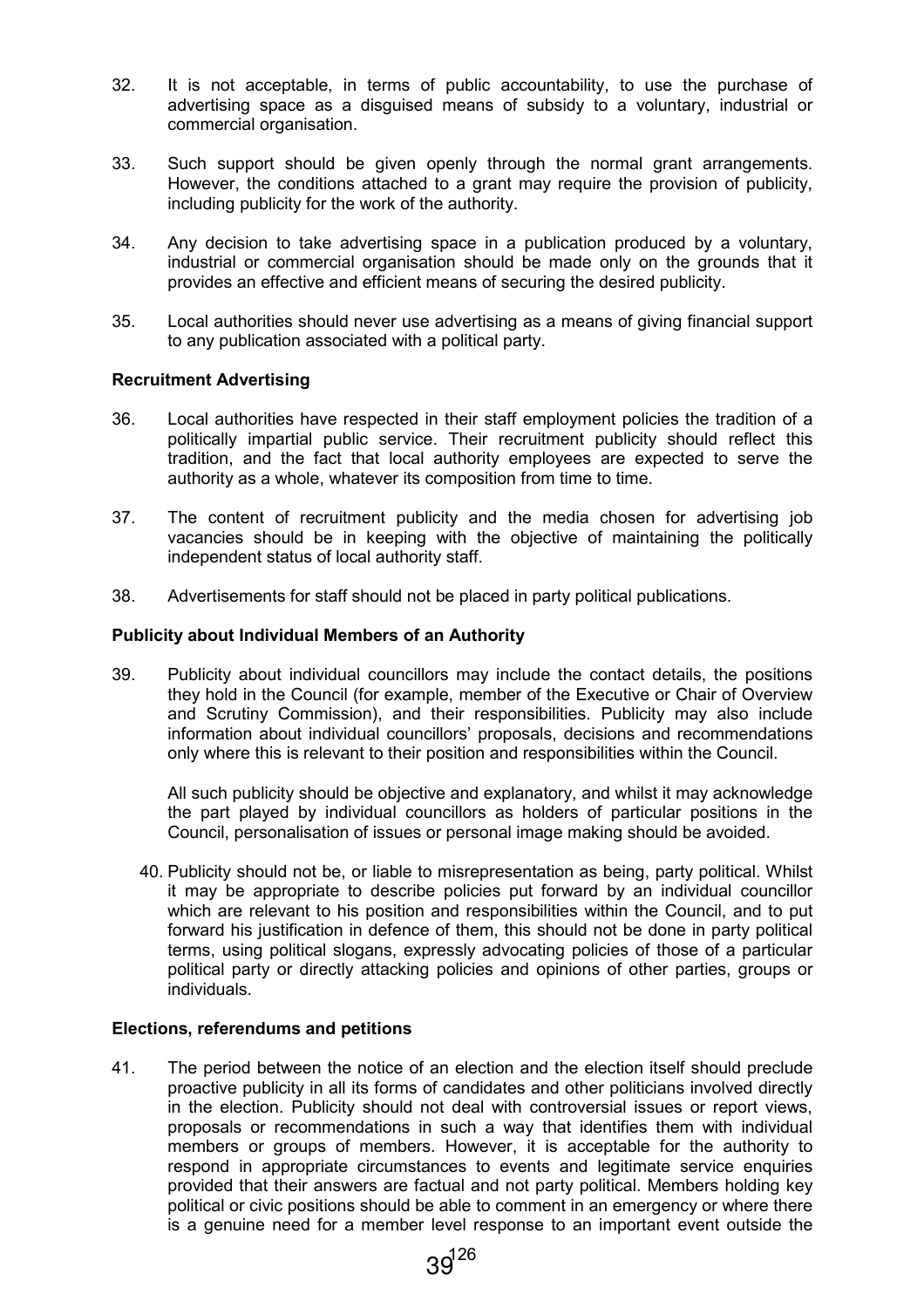- 32. It is not acceptable, in terms of public accountability, to use the purchase of advertising space as a disguised means of subsidy to a voluntary, industrial or commercial organisation.
- 33. Such support should be given openly through the normal grant arrangements. However, the conditions attached to a grant may require the provision of publicity, including publicity for the work of the authority.
- 34. Any decision to take advertising space in a publication produced by a voluntary, industrial or commercial organisation should be made only on the grounds that it provides an effective and efficient means of securing the desired publicity.
- 35. Local authorities should never use advertising as a means of giving financial support to any publication associated with a political party.

#### Recruitment Advertising

- 36. Local authorities have respected in their staff employment policies the tradition of a politically impartial public service. Their recruitment publicity should reflect this tradition, and the fact that local authority employees are expected to serve the authority as a whole, whatever its composition from time to time.
- 37. The content of recruitment publicity and the media chosen for advertising job vacancies should be in keeping with the objective of maintaining the politically independent status of local authority staff.
- 38. Advertisements for staff should not be placed in party political publications.

#### Publicity about Individual Members of an Authority

39. Publicity about individual councillors may include the contact details, the positions they hold in the Council (for example, member of the Executive or Chair of Overview and Scrutiny Commission), and their responsibilities. Publicity may also include information about individual councillors' proposals, decisions and recommendations only where this is relevant to their position and responsibilities within the Council.

 All such publicity should be objective and explanatory, and whilst it may acknowledge the part played by individual councillors as holders of particular positions in the Council, personalisation of issues or personal image making should be avoided.

40. Publicity should not be, or liable to misrepresentation as being, party political. Whilst it may be appropriate to describe policies put forward by an individual councillor which are relevant to his position and responsibilities within the Council, and to put forward his justification in defence of them, this should not be done in party political terms, using political slogans, expressly advocating policies of those of a particular political party or directly attacking policies and opinions of other parties, groups or individuals.

#### Elections, referendums and petitions

41. The period between the notice of an election and the election itself should preclude proactive publicity in all its forms of candidates and other politicians involved directly in the election. Publicity should not deal with controversial issues or report views, proposals or recommendations in such a way that identifies them with individual members or groups of members. However, it is acceptable for the authority to respond in appropriate circumstances to events and legitimate service enquiries provided that their answers are factual and not party political. Members holding key political or civic positions should be able to comment in an emergency or where there is a genuine need for a member level response to an important event outside the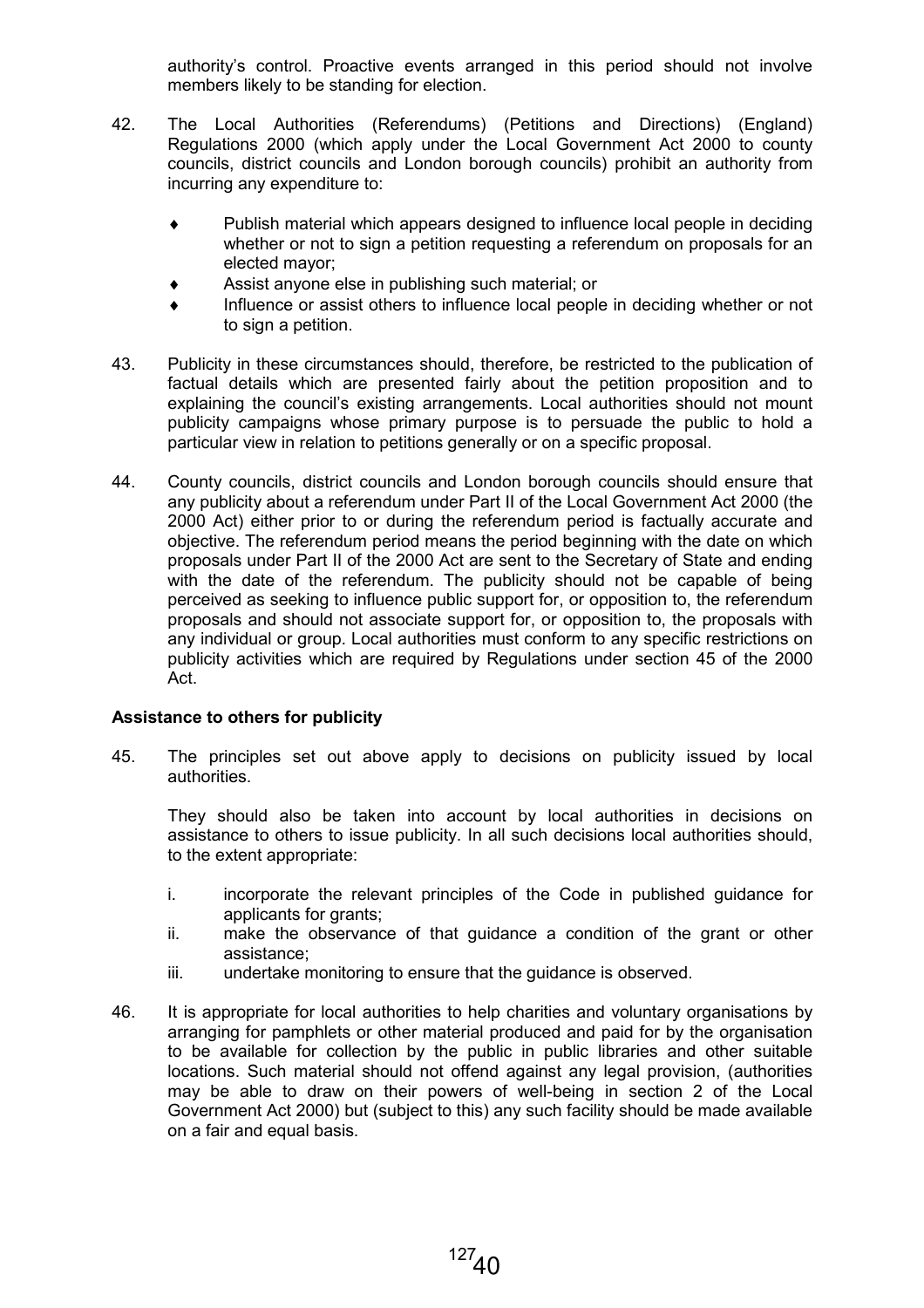authority's control. Proactive events arranged in this period should not involve members likely to be standing for election.

- 42. The Local Authorities (Referendums) (Petitions and Directions) (England) Regulations 2000 (which apply under the Local Government Act 2000 to county councils, district councils and London borough councils) prohibit an authority from incurring any expenditure to:
	- ♦ Publish material which appears designed to influence local people in deciding whether or not to sign a petition requesting a referendum on proposals for an elected mayor;
	- Assist anyone else in publishing such material; or
	- ♦ Influence or assist others to influence local people in deciding whether or not to sign a petition.
- 43. Publicity in these circumstances should, therefore, be restricted to the publication of factual details which are presented fairly about the petition proposition and to explaining the council's existing arrangements. Local authorities should not mount publicity campaigns whose primary purpose is to persuade the public to hold a particular view in relation to petitions generally or on a specific proposal.
- 44. County councils, district councils and London borough councils should ensure that any publicity about a referendum under Part II of the Local Government Act 2000 (the 2000 Act) either prior to or during the referendum period is factually accurate and objective. The referendum period means the period beginning with the date on which proposals under Part II of the 2000 Act are sent to the Secretary of State and ending with the date of the referendum. The publicity should not be capable of being perceived as seeking to influence public support for, or opposition to, the referendum proposals and should not associate support for, or opposition to, the proposals with any individual or group. Local authorities must conform to any specific restrictions on publicity activities which are required by Regulations under section 45 of the 2000 Act.

## Assistance to others for publicity

45. The principles set out above apply to decisions on publicity issued by local authorities.

 They should also be taken into account by local authorities in decisions on assistance to others to issue publicity. In all such decisions local authorities should, to the extent appropriate:

- i. incorporate the relevant principles of the Code in published guidance for applicants for grants;
- ii. make the observance of that guidance a condition of the grant or other assistance;
- iii. undertake monitoring to ensure that the guidance is observed.
- 46. It is appropriate for local authorities to help charities and voluntary organisations by arranging for pamphlets or other material produced and paid for by the organisation to be available for collection by the public in public libraries and other suitable locations. Such material should not offend against any legal provision, (authorities may be able to draw on their powers of well-being in section 2 of the Local Government Act 2000) but (subject to this) any such facility should be made available on a fair and equal basis.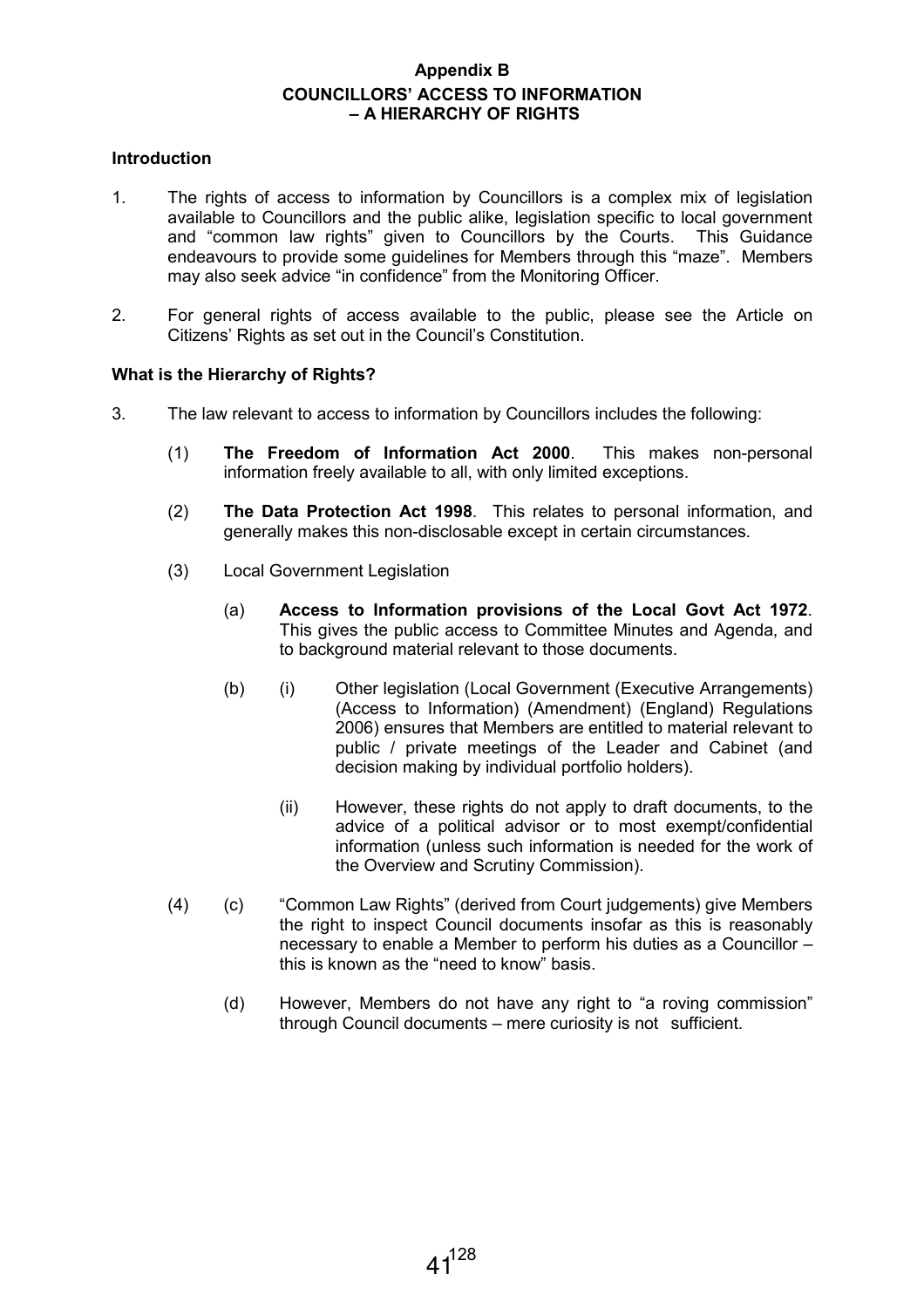## Appendix B COUNCILLORS' ACCESS TO INFORMATION – A HIERARCHY OF RIGHTS

#### Introduction

- 1. The rights of access to information by Councillors is a complex mix of legislation available to Councillors and the public alike, legislation specific to local government and "common law rights" given to Councillors by the Courts. This Guidance endeavours to provide some guidelines for Members through this "maze". Members may also seek advice "in confidence" from the Monitoring Officer.
- 2. For general rights of access available to the public, please see the Article on Citizens' Rights as set out in the Council's Constitution.

## What is the Hierarchy of Rights?

- 3. The law relevant to access to information by Councillors includes the following:
	- (1) The Freedom of Information Act 2000. This makes non-personal information freely available to all, with only limited exceptions.
	- (2) The Data Protection Act 1998. This relates to personal information, and generally makes this non-disclosable except in certain circumstances.
	- (3) Local Government Legislation
		- (a) Access to Information provisions of the Local Govt Act 1972. This gives the public access to Committee Minutes and Agenda, and to background material relevant to those documents.
		- (b) (i) Other legislation (Local Government (Executive Arrangements) (Access to Information) (Amendment) (England) Regulations 2006) ensures that Members are entitled to material relevant to public / private meetings of the Leader and Cabinet (and decision making by individual portfolio holders).
			- (ii) However, these rights do not apply to draft documents, to the advice of a political advisor or to most exempt/confidential information (unless such information is needed for the work of the Overview and Scrutiny Commission).
	- (4) (c) "Common Law Rights" (derived from Court judgements) give Members the right to inspect Council documents insofar as this is reasonably necessary to enable a Member to perform his duties as a Councillor – this is known as the "need to know" basis.
		- (d) However, Members do not have any right to "a roving commission" through Council documents – mere curiosity is not sufficient.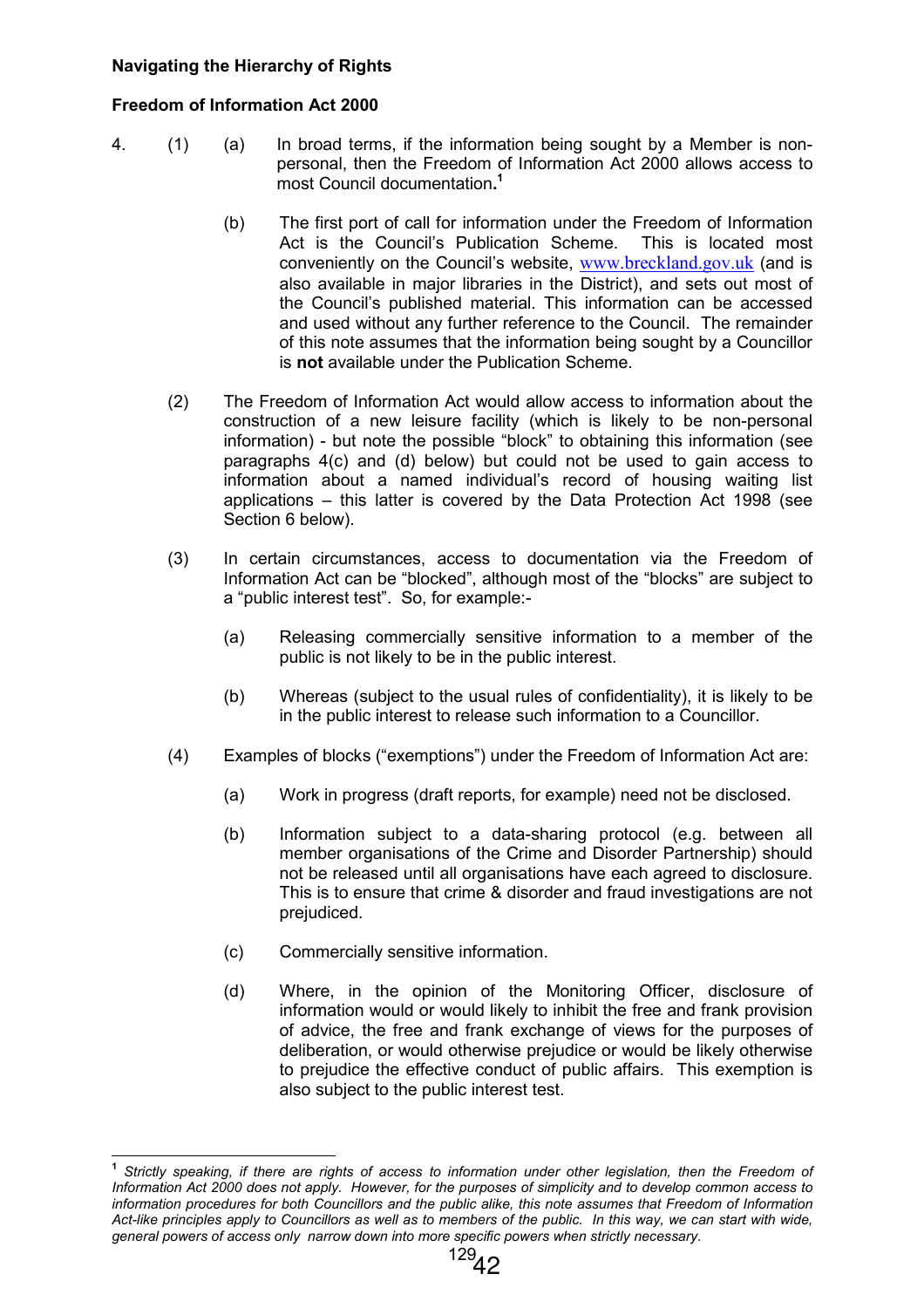## Navigating the Hierarchy of Rights

## Freedom of Information Act 2000

- 4. (1) (a) In broad terms, if the information being sought by a Member is nonpersonal, then the Freedom of Information Act 2000 allows access to most Council documentation. 1
	- (b) The first port of call for information under the Freedom of Information Act is the Council's Publication Scheme. This is located most conveniently on the Council's website, www.breckland.gov.uk (and is also available in major libraries in the District), and sets out most of the Council's published material. This information can be accessed and used without any further reference to the Council. The remainder of this note assumes that the information being sought by a Councillor is not available under the Publication Scheme.
	- (2) The Freedom of Information Act would allow access to information about the construction of a new leisure facility (which is likely to be non-personal information) - but note the possible "block" to obtaining this information (see paragraphs 4(c) and (d) below) but could not be used to gain access to information about a named individual's record of housing waiting list applications – this latter is covered by the Data Protection Act 1998 (see Section 6 below).
	- (3) In certain circumstances, access to documentation via the Freedom of Information Act can be "blocked", although most of the "blocks" are subject to a "public interest test". So, for example:-
		- (a) Releasing commercially sensitive information to a member of the public is not likely to be in the public interest.
		- (b) Whereas (subject to the usual rules of confidentiality), it is likely to be in the public interest to release such information to a Councillor.
	- (4) Examples of blocks ("exemptions") under the Freedom of Information Act are:
		- (a) Work in progress (draft reports, for example) need not be disclosed.
		- (b) Information subject to a data-sharing protocol (e.g. between all member organisations of the Crime and Disorder Partnership) should not be released until all organisations have each agreed to disclosure. This is to ensure that crime & disorder and fraud investigations are not prejudiced.
		- (c) Commercially sensitive information.
		- (d) Where, in the opinion of the Monitoring Officer, disclosure of information would or would likely to inhibit the free and frank provision of advice, the free and frank exchange of views for the purposes of deliberation, or would otherwise prejudice or would be likely otherwise to prejudice the effective conduct of public affairs. This exemption is also subject to the public interest test.

 1 Strictly speaking, if there are rights of access to information under other legislation, then the Freedom of Information Act 2000 does not apply. However, for the purposes of simplicity and to develop common access to information procedures for both Councillors and the public alike, this note assumes that Freedom of Information Act-like principles apply to Councillors as well as to members of the public. In this way, we can start with wide, general powers of access only narrow down into more specific powers when strictly necessary.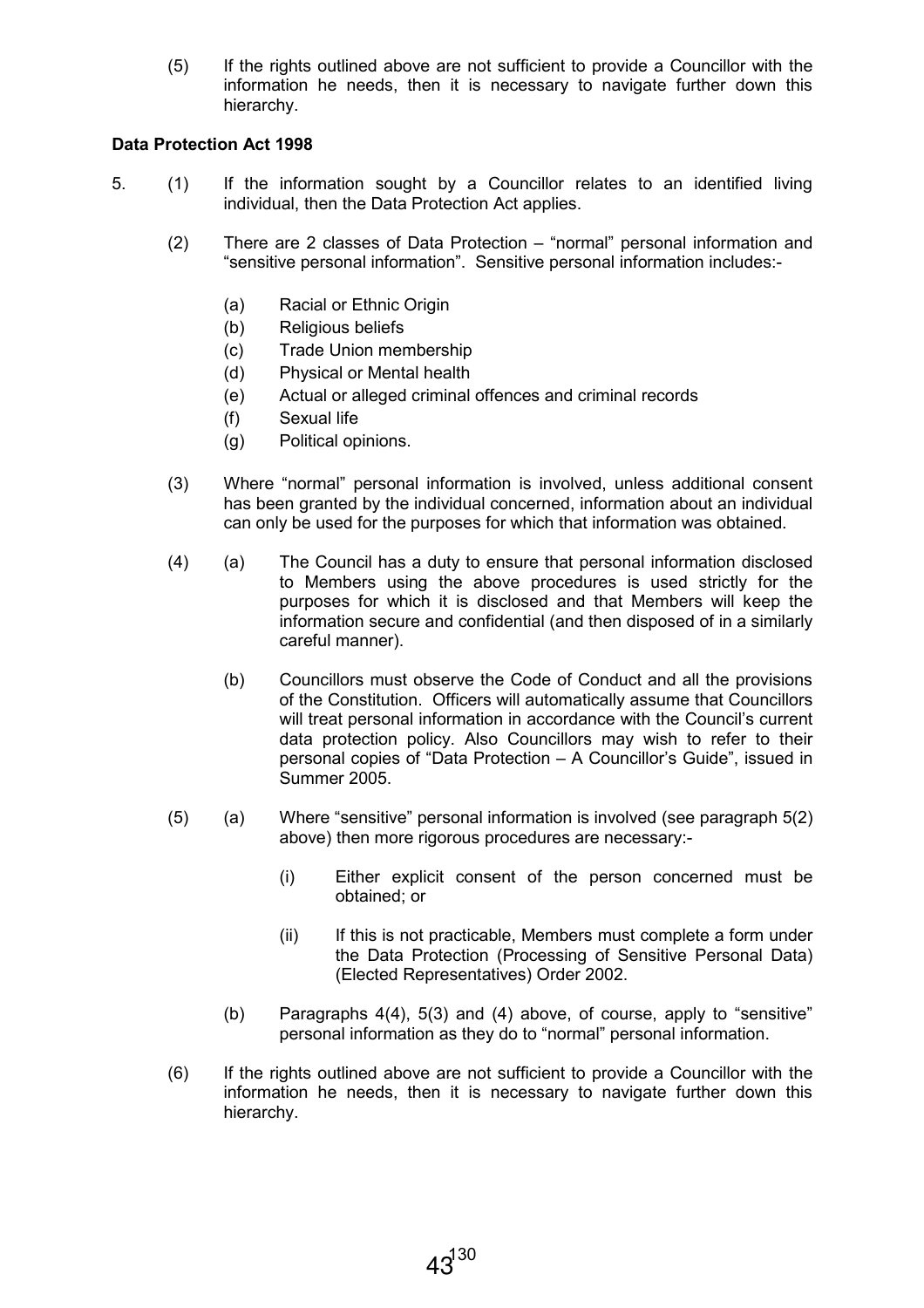(5) If the rights outlined above are not sufficient to provide a Councillor with the information he needs, then it is necessary to navigate further down this hierarchy.

## Data Protection Act 1998

- 5. (1) If the information sought by a Councillor relates to an identified living individual, then the Data Protection Act applies.
	- (2) There are 2 classes of Data Protection "normal" personal information and "sensitive personal information". Sensitive personal information includes:-
		- (a) Racial or Ethnic Origin
		- (b) Religious beliefs
		- (c) Trade Union membership
		- (d) Physical or Mental health
		- (e) Actual or alleged criminal offences and criminal records
		- (f) Sexual life
		- (g) Political opinions.
	- (3) Where "normal" personal information is involved, unless additional consent has been granted by the individual concerned, information about an individual can only be used for the purposes for which that information was obtained.
	- (4) (a) The Council has a duty to ensure that personal information disclosed to Members using the above procedures is used strictly for the purposes for which it is disclosed and that Members will keep the information secure and confidential (and then disposed of in a similarly careful manner).
		- (b) Councillors must observe the Code of Conduct and all the provisions of the Constitution. Officers will automatically assume that Councillors will treat personal information in accordance with the Council's current data protection policy. Also Councillors may wish to refer to their personal copies of "Data Protection – A Councillor's Guide", issued in Summer 2005.
	- (5) (a) Where "sensitive" personal information is involved (see paragraph 5(2) above) then more rigorous procedures are necessary:-
		- (i) Either explicit consent of the person concerned must be obtained; or
		- (ii) If this is not practicable, Members must complete a form under the Data Protection (Processing of Sensitive Personal Data) (Elected Representatives) Order 2002.
		- (b) Paragraphs 4(4), 5(3) and (4) above, of course, apply to "sensitive" personal information as they do to "normal" personal information.
	- (6) If the rights outlined above are not sufficient to provide a Councillor with the information he needs, then it is necessary to navigate further down this hierarchy.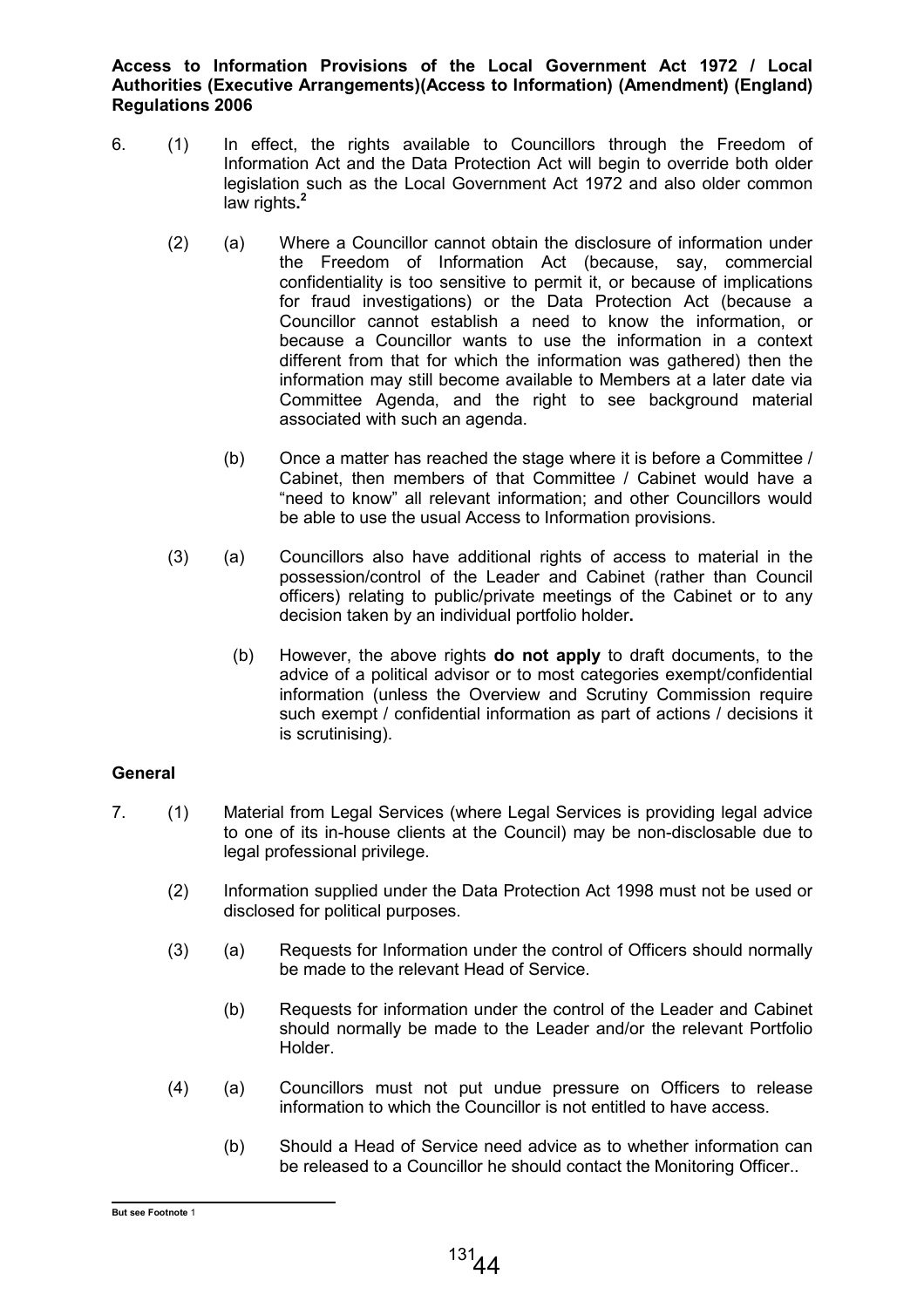Access to Information Provisions of the Local Government Act 1972 / Local Authorities (Executive Arrangements)(Access to Information) (Amendment) (England) Regulations 2006

- 6. (1) In effect, the rights available to Councillors through the Freedom of Information Act and the Data Protection Act will begin to override both older legislation such as the Local Government Act 1972 and also older common law rights.<sup>2</sup>
	- (2) (a) Where a Councillor cannot obtain the disclosure of information under the Freedom of Information Act (because, say, commercial confidentiality is too sensitive to permit it, or because of implications for fraud investigations) or the Data Protection Act (because a Councillor cannot establish a need to know the information, or because a Councillor wants to use the information in a context different from that for which the information was gathered) then the information may still become available to Members at a later date via Committee Agenda, and the right to see background material associated with such an agenda.
		- (b) Once a matter has reached the stage where it is before a Committee / Cabinet, then members of that Committee / Cabinet would have a "need to know" all relevant information; and other Councillors would be able to use the usual Access to Information provisions.
	- (3) (a) Councillors also have additional rights of access to material in the possession/control of the Leader and Cabinet (rather than Council officers) relating to public/private meetings of the Cabinet or to any decision taken by an individual portfolio holder.
		- (b) However, the above rights do not apply to draft documents, to the advice of a political advisor or to most categories exempt/confidential information (unless the Overview and Scrutiny Commission require such exempt / confidential information as part of actions / decisions it is scrutinising).

## **General**

- 7. (1) Material from Legal Services (where Legal Services is providing legal advice to one of its in-house clients at the Council) may be non-disclosable due to legal professional privilege.
	- (2) Information supplied under the Data Protection Act 1998 must not be used or disclosed for political purposes.
	- (3) (a) Requests for Information under the control of Officers should normally be made to the relevant Head of Service.
		- (b) Requests for information under the control of the Leader and Cabinet should normally be made to the Leader and/or the relevant Portfolio Holder.
	- (4) (a) Councillors must not put undue pressure on Officers to release information to which the Councillor is not entitled to have access.
		- (b) Should a Head of Service need advice as to whether information can be released to a Councillor he should contact the Monitoring Officer..

 But see Footnote 1